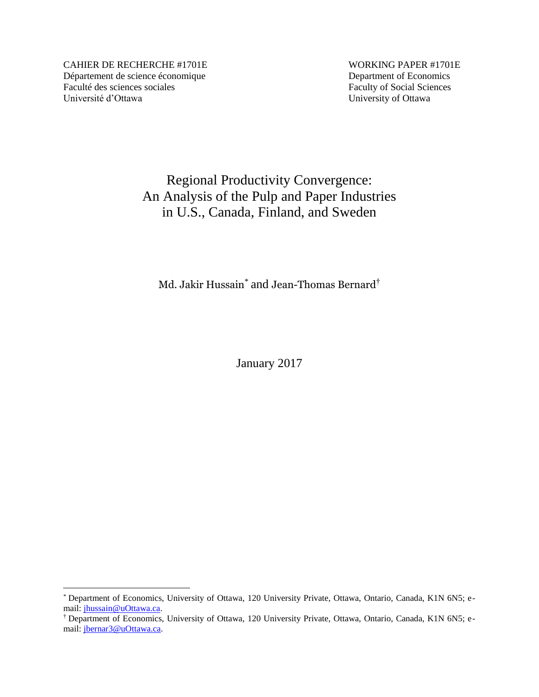CAHIER DE RECHERCHE #1701E WORKING PAPER #1701E Département de science économique Department of Economics Faculté des sciences sociales Faculty of Social Sciences Université d'Ottawa University of Ottawa

 $\overline{a}$ 

# Regional Productivity Convergence: An Analysis of the Pulp and Paper Industries in U.S., Canada, Finland, and Sweden

Md. Jakir Hussain $^*$  and Jean-Thomas Bernard $^\dagger$ 

January 2017

<sup>\*</sup> Department of Economics, University of Ottawa, 120 University Private, Ottawa, Ontario, Canada, K1N 6N5; email: [jhussain@uOttawa.ca.](mailto:jhussain@uOttawa.ca)

<sup>†</sup> Department of Economics, University of Ottawa, 120 University Private, Ottawa, Ontario, Canada, K1N 6N5; email: [jbernar3@uOttawa.ca.](mailto:jbernar3@uOttawa.ca)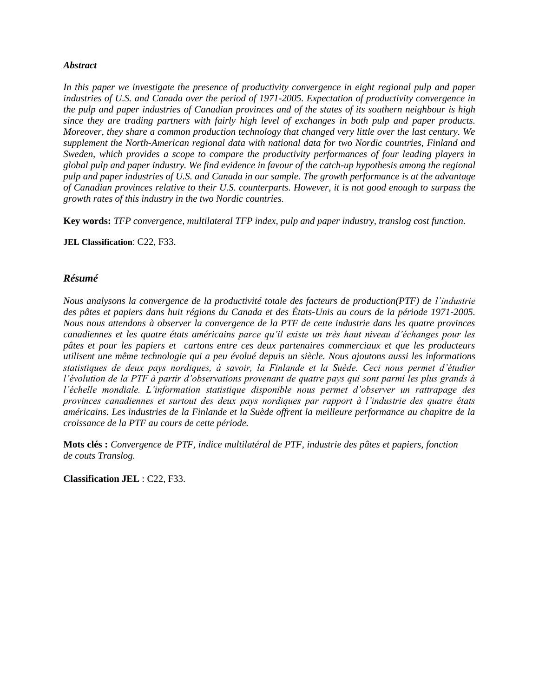#### *Abstract*

In this paper we investigate the presence of productivity convergence in eight regional pulp and paper *industries of U.S. and Canada over the period of 1971-2005. Expectation of productivity convergence in the pulp and paper industries of Canadian provinces and of the states of its southern neighbour is high since they are trading partners with fairly high level of exchanges in both pulp and paper products. Moreover, they share a common production technology that changed very little over the last century. We supplement the North-American regional data with national data for two Nordic countries, Finland and Sweden, which provides a scope to compare the productivity performances of four leading players in global pulp and paper industry. We find evidence in favour of the catch-up hypothesis among the regional pulp and paper industries of U.S. and Canada in our sample. The growth performance is at the advantage of Canadian provinces relative to their U.S. counterparts. However, it is not good enough to surpass the growth rates of this industry in the two Nordic countries.*

**Key words:** *TFP convergence, multilateral TFP index, pulp and paper industry, translog cost function.*

**JEL Classification**: C22, F33.

#### *Résumé*

*Nous analysons la convergence de la productivité totale des facteurs de production(PTF) de l'industrie des pâtes et papiers dans huit régions du Canada et des États-Unis au cours de la période 1971-2005. Nous nous attendons à observer la convergence de la PTF de cette industrie dans les quatre provinces canadiennes et les quatre états américains parce qu'il existe un très haut niveau d'échanges pour les pâtes et pour les papiers et cartons entre ces deux partenaires commerciaux et que les producteurs utilisent une même technologie qui a peu évolué depuis un siècle. Nous ajoutons aussi les informations statistiques de deux pays nordiques, à savoir, la Finlande et la Suède. Ceci nous permet d'étudier l'évolution de la PTF à partir d'observations provenant de quatre pays qui sont parmi les plus grands à l'échelle mondiale. L'information statistique disponible nous permet d'observer un rattrapage des provinces canadiennes et surtout des deux pays nordiques par rapport à l'industrie des quatre états américains. Les industries de la Finlande et la Suède offrent la meilleure performance au chapitre de la croissance de la PTF au cours de cette période.*

**Mots clés :** *Convergence de PTF, indice multilatéral de PTF, industrie des pâtes et papiers, fonction de couts Translog.*

**Classification JEL** : C22, F33.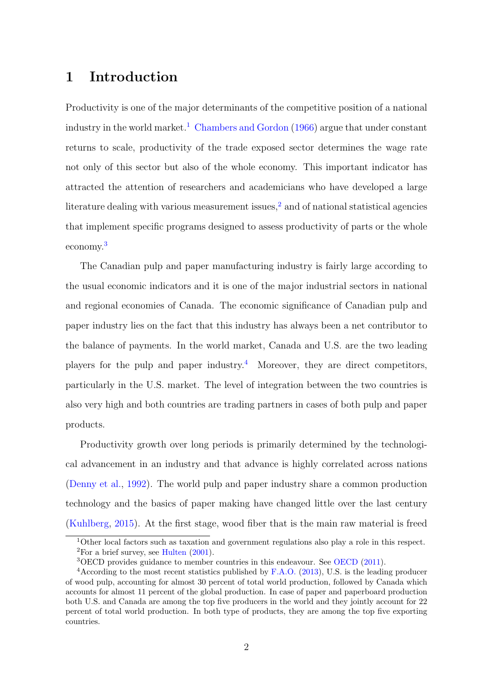# 1 Introduction

Productivity is one of the major determinants of the competitive position of a national industry in the world market.<sup>1</sup> Chambers and Gordon (1966) argue that under constant returns to scale, productivity of the trade exposed sector determines the wage rate not only of this sector but also of the whole economy. This important indicator has attracted the attention of researchers and academicians who have developed a large literature dealing with various measurement issues, $<sup>2</sup>$  and of national statistical agencies</sup> that implement specific programs designed to assess productivity of parts or the whole economy.3

The Canadian pulp and paper manufacturing industry is fairly large according to the usual economic indicators and it is one of the major industrial sectors in national and regional economies of Canada. The economic significance of Canadian pulp and paper industry lies on the fact that this industry has always been a net contributor to the balance of payments. In the world market, Canada and U.S. are the two leading players for the pulp and paper industry.<sup>4</sup> Moreover, they are direct competitors, particularly in the U.S. market. The level of integration between the two countries is also very high and both countries are trading partners in cases of both pulp and paper products.

Productivity growth over long periods is primarily determined by the technological advancement in an industry and that advance is highly correlated across nations (Denny et al., 1992). The world pulp and paper industry share a common production technology and the basics of paper making have changed little over the last century (Kuhlberg, 2015). At the first stage, wood fiber that is the main raw material is freed

<sup>1</sup>Other local factors such as taxation and government regulations also play a role in this respect.  ${}^{2}$ For a brief survey, see Hulten  $(2001)$ .

<sup>3</sup>OECD provides guidance to member countries in this endeavour. See OECD (2011).

<sup>4</sup>According to the most recent statistics published by F.A.O. (2013), U.S. is the leading producer of wood pulp, accounting for almost 30 percent of total world production, followed by Canada which accounts for almost 11 percent of the global production. In case of paper and paperboard production both U.S. and Canada are among the top five producers in the world and they jointly account for 22 percent of total world production. In both type of products, they are among the top five exporting countries.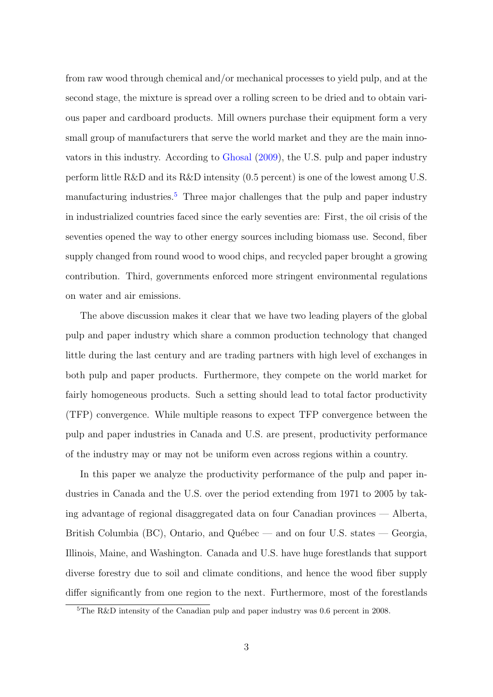from raw wood through chemical and/or mechanical processes to yield pulp, and at the second stage, the mixture is spread over a rolling screen to be dried and to obtain various paper and cardboard products. Mill owners purchase their equipment form a very small group of manufacturers that serve the world market and they are the main innovators in this industry. According to Ghosal (2009), the U.S. pulp and paper industry perform little R&D and its R&D intensity (0.5 percent) is one of the lowest among U.S. manufacturing industries.<sup>5</sup> Three major challenges that the pulp and paper industry in industrialized countries faced since the early seventies are: First, the oil crisis of the seventies opened the way to other energy sources including biomass use. Second, fiber supply changed from round wood to wood chips, and recycled paper brought a growing contribution. Third, governments enforced more stringent environmental regulations on water and air emissions.

The above discussion makes it clear that we have two leading players of the global pulp and paper industry which share a common production technology that changed little during the last century and are trading partners with high level of exchanges in both pulp and paper products. Furthermore, they compete on the world market for fairly homogeneous products. Such a setting should lead to total factor productivity (TFP) convergence. While multiple reasons to expect TFP convergence between the pulp and paper industries in Canada and U.S. are present, productivity performance of the industry may or may not be uniform even across regions within a country.

In this paper we analyze the productivity performance of the pulp and paper industries in Canada and the U.S. over the period extending from 1971 to 2005 by taking advantage of regional disaggregated data on four Canadian provinces — Alberta, British Columbia (BC), Ontario, and Québec — and on four U.S. states — Georgia, Illinois, Maine, and Washington. Canada and U.S. have huge forestlands that support diverse forestry due to soil and climate conditions, and hence the wood fiber supply differ significantly from one region to the next. Furthermore, most of the forestlands

<sup>5</sup>The R&D intensity of the Canadian pulp and paper industry was 0.6 percent in 2008.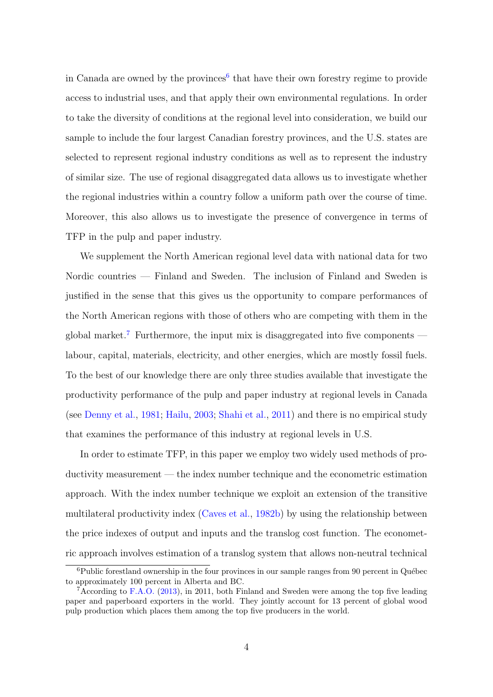in Canada are owned by the provinces<sup>6</sup> that have their own forestry regime to provide access to industrial uses, and that apply their own environmental regulations. In order to take the diversity of conditions at the regional level into consideration, we build our sample to include the four largest Canadian forestry provinces, and the U.S. states are selected to represent regional industry conditions as well as to represent the industry of similar size. The use of regional disaggregated data allows us to investigate whether the regional industries within a country follow a uniform path over the course of time. Moreover, this also allows us to investigate the presence of convergence in terms of TFP in the pulp and paper industry.

We supplement the North American regional level data with national data for two Nordic countries — Finland and Sweden. The inclusion of Finland and Sweden is justified in the sense that this gives us the opportunity to compare performances of the North American regions with those of others who are competing with them in the global market.<sup>7</sup> Furthermore, the input mix is disaggregated into five components labour, capital, materials, electricity, and other energies, which are mostly fossil fuels. To the best of our knowledge there are only three studies available that investigate the productivity performance of the pulp and paper industry at regional levels in Canada (see Denny et al., 1981; Hailu, 2003; Shahi et al., 2011) and there is no empirical study that examines the performance of this industry at regional levels in U.S.

In order to estimate TFP, in this paper we employ two widely used methods of productivity measurement — the index number technique and the econometric estimation approach. With the index number technique we exploit an extension of the transitive multilateral productivity index (Caves et al., 1982b) by using the relationship between the price indexes of output and inputs and the translog cost function. The econometric approach involves estimation of a translog system that allows non-neutral technical

 ${}^{6}$ Public forestland ownership in the four provinces in our sample ranges from 90 percent in Québec to approximately 100 percent in Alberta and BC.

<sup>7</sup>According to F.A.O. (2013), in 2011, both Finland and Sweden were among the top five leading paper and paperboard exporters in the world. They jointly account for 13 percent of global wood pulp production which places them among the top five producers in the world.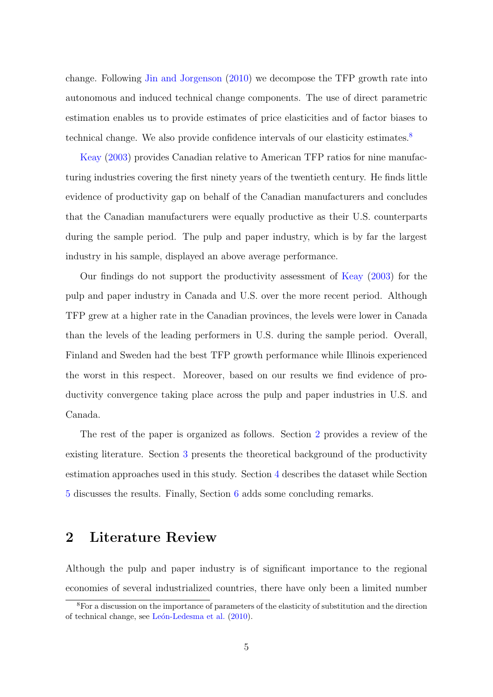change. Following Jin and Jorgenson (2010) we decompose the TFP growth rate into autonomous and induced technical change components. The use of direct parametric estimation enables us to provide estimates of price elasticities and of factor biases to technical change. We also provide confidence intervals of our elasticity estimates.<sup>8</sup>

Keay (2003) provides Canadian relative to American TFP ratios for nine manufacturing industries covering the first ninety years of the twentieth century. He finds little evidence of productivity gap on behalf of the Canadian manufacturers and concludes that the Canadian manufacturers were equally productive as their U.S. counterparts during the sample period. The pulp and paper industry, which is by far the largest industry in his sample, displayed an above average performance.

Our findings do not support the productivity assessment of Keay (2003) for the pulp and paper industry in Canada and U.S. over the more recent period. Although TFP grew at a higher rate in the Canadian provinces, the levels were lower in Canada than the levels of the leading performers in U.S. during the sample period. Overall, Finland and Sweden had the best TFP growth performance while Illinois experienced the worst in this respect. Moreover, based on our results we find evidence of productivity convergence taking place across the pulp and paper industries in U.S. and Canada.

The rest of the paper is organized as follows. Section 2 provides a review of the existing literature. Section 3 presents the theoretical background of the productivity estimation approaches used in this study. Section 4 describes the dataset while Section 5 discusses the results. Finally, Section 6 adds some concluding remarks.

# 2 Literature Review

Although the pulp and paper industry is of significant importance to the regional economies of several industrialized countries, there have only been a limited number

<sup>8</sup>For a discussion on the importance of parameters of the elasticity of substitution and the direction of technical change, see León-Ledesma et al. (2010).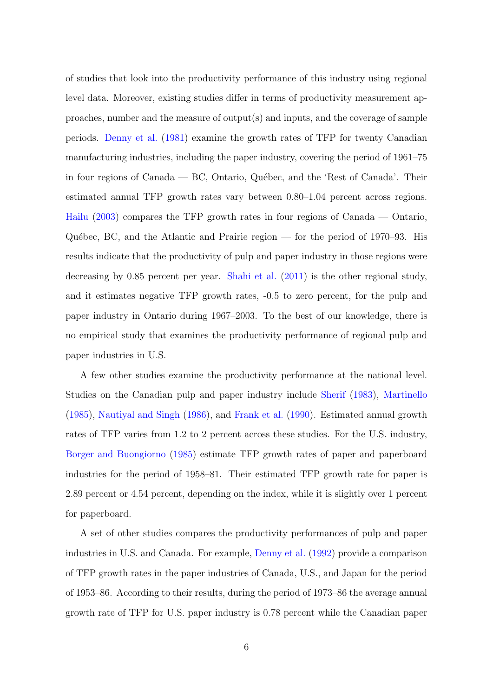of studies that look into the productivity performance of this industry using regional level data. Moreover, existing studies differ in terms of productivity measurement approaches, number and the measure of output(s) and inputs, and the coverage of sample periods. Denny et al. (1981) examine the growth rates of TFP for twenty Canadian manufacturing industries, including the paper industry, covering the period of 1961–75 in four regions of Canada —  $BC$ , Ontario, Québec, and the 'Rest of Canada'. Their estimated annual TFP growth rates vary between 0.80–1.04 percent across regions. Hailu (2003) compares the TFP growth rates in four regions of Canada — Ontario, Québec, BC, and the Atlantic and Prairie region — for the period of  $1970-93$ . His results indicate that the productivity of pulp and paper industry in those regions were decreasing by 0.85 percent per year. Shahi et al. (2011) is the other regional study, and it estimates negative TFP growth rates, -0.5 to zero percent, for the pulp and paper industry in Ontario during 1967–2003. To the best of our knowledge, there is no empirical study that examines the productivity performance of regional pulp and paper industries in U.S.

A few other studies examine the productivity performance at the national level. Studies on the Canadian pulp and paper industry include Sherif (1983), Martinello (1985), Nautiyal and Singh (1986), and Frank et al. (1990). Estimated annual growth rates of TFP varies from 1.2 to 2 percent across these studies. For the U.S. industry, Borger and Buongiorno (1985) estimate TFP growth rates of paper and paperboard industries for the period of 1958–81. Their estimated TFP growth rate for paper is 2.89 percent or 4.54 percent, depending on the index, while it is slightly over 1 percent for paperboard.

A set of other studies compares the productivity performances of pulp and paper industries in U.S. and Canada. For example, Denny et al. (1992) provide a comparison of TFP growth rates in the paper industries of Canada, U.S., and Japan for the period of 1953–86. According to their results, during the period of 1973–86 the average annual growth rate of TFP for U.S. paper industry is 0.78 percent while the Canadian paper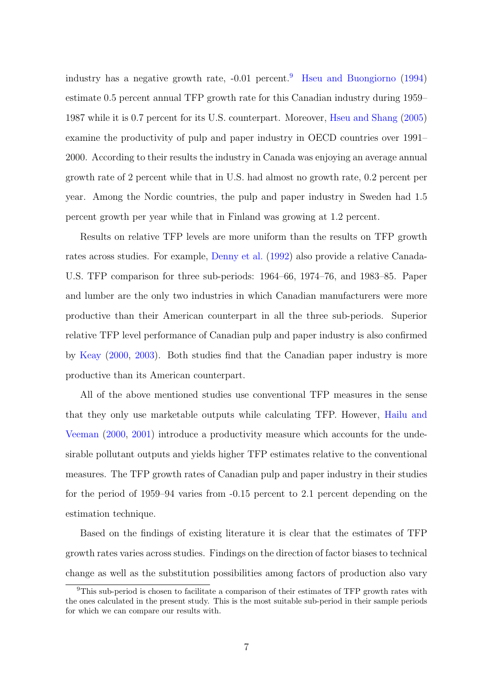industry has a negative growth rate,  $-0.01$  percent.<sup>9</sup> Hseu and Buongiorno (1994) estimate 0.5 percent annual TFP growth rate for this Canadian industry during 1959– 1987 while it is 0.7 percent for its U.S. counterpart. Moreover, Hseu and Shang (2005) examine the productivity of pulp and paper industry in OECD countries over 1991– 2000. According to their results the industry in Canada was enjoying an average annual growth rate of 2 percent while that in U.S. had almost no growth rate, 0.2 percent per year. Among the Nordic countries, the pulp and paper industry in Sweden had 1.5 percent growth per year while that in Finland was growing at 1.2 percent.

Results on relative TFP levels are more uniform than the results on TFP growth rates across studies. For example, Denny et al. (1992) also provide a relative Canada-U.S. TFP comparison for three sub-periods: 1964–66, 1974–76, and 1983–85. Paper and lumber are the only two industries in which Canadian manufacturers were more productive than their American counterpart in all the three sub-periods. Superior relative TFP level performance of Canadian pulp and paper industry is also confirmed by Keay (2000, 2003). Both studies find that the Canadian paper industry is more productive than its American counterpart.

All of the above mentioned studies use conventional TFP measures in the sense that they only use marketable outputs while calculating TFP. However, Hailu and Veeman (2000, 2001) introduce a productivity measure which accounts for the undesirable pollutant outputs and yields higher TFP estimates relative to the conventional measures. The TFP growth rates of Canadian pulp and paper industry in their studies for the period of 1959–94 varies from -0.15 percent to 2.1 percent depending on the estimation technique.

Based on the findings of existing literature it is clear that the estimates of TFP growth rates varies across studies. Findings on the direction of factor biases to technical change as well as the substitution possibilities among factors of production also vary

<sup>9</sup>This sub-period is chosen to facilitate a comparison of their estimates of TFP growth rates with the ones calculated in the present study. This is the most suitable sub-period in their sample periods for which we can compare our results with.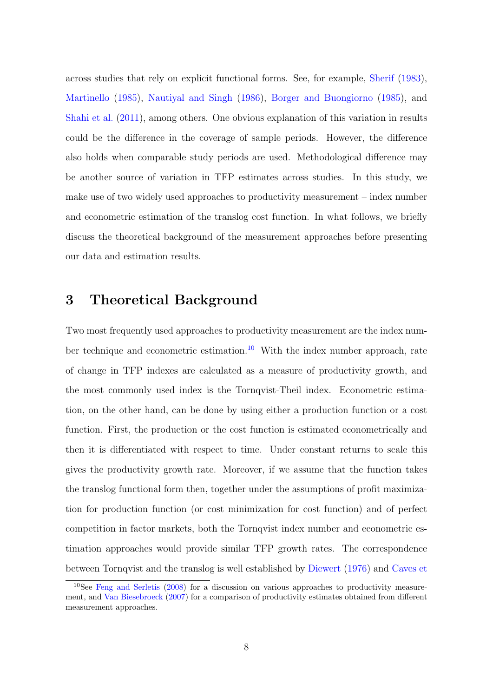across studies that rely on explicit functional forms. See, for example, Sherif (1983), Martinello (1985), Nautiyal and Singh (1986), Borger and Buongiorno (1985), and Shahi et al. (2011), among others. One obvious explanation of this variation in results could be the difference in the coverage of sample periods. However, the difference also holds when comparable study periods are used. Methodological difference may be another source of variation in TFP estimates across studies. In this study, we make use of two widely used approaches to productivity measurement – index number and econometric estimation of the translog cost function. In what follows, we briefly discuss the theoretical background of the measurement approaches before presenting our data and estimation results.

### 3 Theoretical Background

Two most frequently used approaches to productivity measurement are the index number technique and econometric estimation.<sup>10</sup> With the index number approach, rate of change in TFP indexes are calculated as a measure of productivity growth, and the most commonly used index is the Tornqvist-Theil index. Econometric estimation, on the other hand, can be done by using either a production function or a cost function. First, the production or the cost function is estimated econometrically and then it is differentiated with respect to time. Under constant returns to scale this gives the productivity growth rate. Moreover, if we assume that the function takes the translog functional form then, together under the assumptions of profit maximization for production function (or cost minimization for cost function) and of perfect competition in factor markets, both the Tornqvist index number and econometric estimation approaches would provide similar TFP growth rates. The correspondence between Tornqvist and the translog is well established by Diewert (1976) and Caves et

 $10$ See Feng and Serletis (2008) for a discussion on various approaches to productivity measurement, and Van Biesebroeck (2007) for a comparison of productivity estimates obtained from different measurement approaches.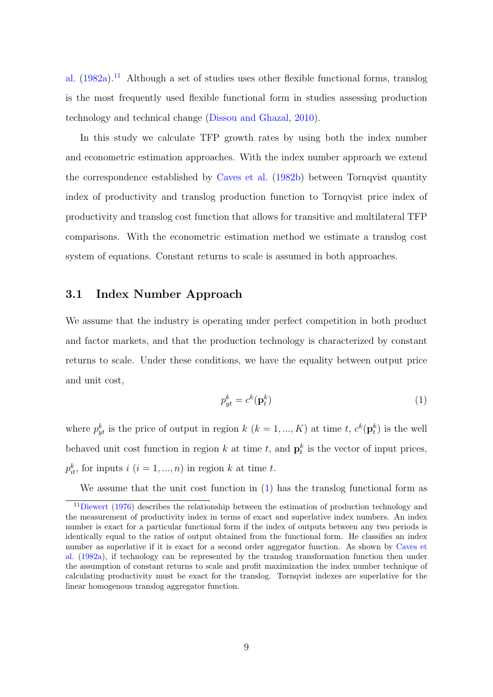al. (1982a).11 Although a set of studies uses other flexible functional forms, translog is the most frequently used flexible functional form in studies assessing production technology and technical change (Dissou and Ghazal, 2010).

In this study we calculate TFP growth rates by using both the index number and econometric estimation approaches. With the index number approach we extend the correspondence established by Caves et al. (1982b) between Tornqvist quantity index of productivity and translog production function to Tornqvist price index of productivity and translog cost function that allows for transitive and multilateral TFP comparisons. With the econometric estimation method we estimate a translog cost system of equations. Constant returns to scale is assumed in both approaches.

### 3.1 Index Number Approach

We assume that the industry is operating under perfect competition in both product and factor markets, and that the production technology is characterized by constant returns to scale. Under these conditions, we have the equality between output price and unit cost,

$$
p_{yt}^k = c^k(\mathbf{p}_t^k)
$$
 (1)

where  $p_{yt}^k$  is the price of output in region  $k$   $(k = 1, ..., K)$  at time t,  $c^k(\mathbf{p}_t^k)$  is the well behaved unit cost function in region k at time t, and  $\mathbf{p}_t^k$  is the vector of input prices,  $p_{it}^k$ , for inputs  $i$   $(i = 1, ..., n)$  in region k at time t.

We assume that the unit cost function in  $(1)$  has the translog functional form as

 $11$ Diewert (1976) describes the relationship between the estimation of production technology and the measurement of productivity index in terms of exact and superlative index numbers. An index number is exact for a particular functional form if the index of outputs between any two periods is identically equal to the ratios of output obtained from the functional form. He classifies an index number as superlative if it is exact for a second order aggregator function. As shown by Caves et al. (1982a), if technology can be represented by the translog transformation function then under the assumption of constant returns to scale and profit maximization the index number technique of calculating productivity must be exact for the translog. Tornqvist indexes are superlative for the linear homogenous translog aggregator function.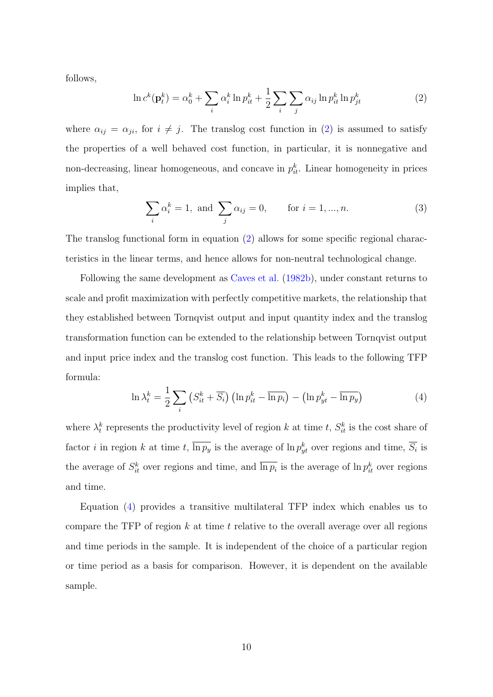follows,

$$
\ln c^{k}(\mathbf{p}_{t}^{k}) = \alpha_{0}^{k} + \sum_{i} \alpha_{i}^{k} \ln p_{it}^{k} + \frac{1}{2} \sum_{i} \sum_{j} \alpha_{ij} \ln p_{it}^{k} \ln p_{jt}^{k}
$$
(2)

where  $\alpha_{ij} = \alpha_{ji}$ , for  $i \neq j$ . The translog cost function in (2) is assumed to satisfy the properties of a well behaved cost function, in particular, it is nonnegative and non-decreasing, linear homogeneous, and concave in  $p_{it}^k$ . Linear homogeneity in prices implies that,

$$
\sum_{i} \alpha_i^k = 1, \text{ and } \sum_{j} \alpha_{ij} = 0, \quad \text{for } i = 1, ..., n. \tag{3}
$$

The translog functional form in equation (2) allows for some specific regional characteristics in the linear terms, and hence allows for non-neutral technological change.

Following the same development as Caves et al. (1982b), under constant returns to scale and profit maximization with perfectly competitive markets, the relationship that they established between Tornqvist output and input quantity index and the translog transformation function can be extended to the relationship between Tornqvist output and input price index and the translog cost function. This leads to the following TFP formula:

$$
\ln \lambda_t^k = \frac{1}{2} \sum_i \left( S_{it}^k + \overline{S_i} \right) \left( \ln p_{it}^k - \overline{\ln p_i} \right) - \left( \ln p_{yt}^k - \overline{\ln p_y} \right) \tag{4}
$$

where  $\lambda_t^k$  represents the productivity level of region k at time t,  $S_{it}^k$  is the cost share of factor *i* in region *k* at time *t*,  $\overline{\ln p_y}$  is the average of  $\ln p_{yt}^k$  over regions and time,  $\overline{S_i}$  is the average of  $S_{it}^k$  over regions and time, and  $\overline{\ln p_i}$  is the average of  $\ln p_{it}^k$  over regions and time.

Equation (4) provides a transitive multilateral TFP index which enables us to compare the TFP of region  $k$  at time  $t$  relative to the overall average over all regions and time periods in the sample. It is independent of the choice of a particular region or time period as a basis for comparison. However, it is dependent on the available sample.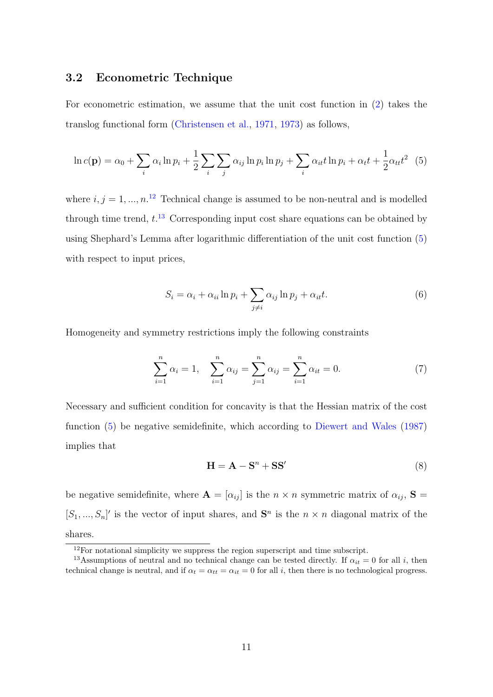### 3.2 Econometric Technique

For econometric estimation, we assume that the unit cost function in (2) takes the translog functional form (Christensen et al., 1971, 1973) as follows,

$$
\ln c(\mathbf{p}) = \alpha_0 + \sum_i \alpha_i \ln p_i + \frac{1}{2} \sum_i \sum_j \alpha_{ij} \ln p_i \ln p_j + \sum_i \alpha_{it} t \ln p_i + \alpha_t t + \frac{1}{2} \alpha_{tt} t^2
$$
 (5)

where  $i, j = 1, ..., n$ <sup>12</sup> Technical change is assumed to be non-neutral and is modelled through time trend,  $t^{13}$  Corresponding input cost share equations can be obtained by using Shephard's Lemma after logarithmic differentiation of the unit cost function (5) with respect to input prices,

$$
S_i = \alpha_i + \alpha_{ii} \ln p_i + \sum_{j \neq i} \alpha_{ij} \ln p_j + \alpha_{it} t. \tag{6}
$$

Homogeneity and symmetry restrictions imply the following constraints

$$
\sum_{i=1}^{n} \alpha_i = 1, \quad \sum_{i=1}^{n} \alpha_{ij} = \sum_{j=1}^{n} \alpha_{ij} = \sum_{i=1}^{n} \alpha_{it} = 0. \tag{7}
$$

Necessary and sufficient condition for concavity is that the Hessian matrix of the cost function (5) be negative semidefinite, which according to Diewert and Wales (1987) implies that

$$
\mathbf{H} = \mathbf{A} - \mathbf{S}^n + \mathbf{S}\mathbf{S}' \tag{8}
$$

be negative semidefinite, where  $\mathbf{A} = [\alpha_{ij}]$  is the  $n \times n$  symmetric matrix of  $\alpha_{ij}$ ,  $\mathbf{S} =$  $[S_1, ..., S_n]'$  is the vector of input shares, and  $S^n$  is the  $n \times n$  diagonal matrix of the shares.

<sup>&</sup>lt;sup>12</sup>For notational simplicity we suppress the region superscript and time subscript.

<sup>&</sup>lt;sup>13</sup>Assumptions of neutral and no technical change can be tested directly. If  $\alpha_{it} = 0$  for all i, then technical change is neutral, and if  $\alpha_t = \alpha_{tt} = \alpha_{it} = 0$  for all *i*, then there is no technological progress.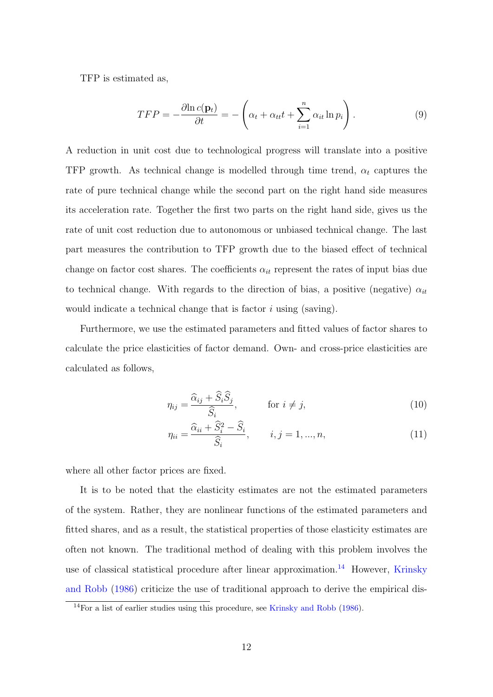TFP is estimated as,

$$
TFP = -\frac{\partial \ln c(\mathbf{p}_t)}{\partial t} = -\left(\alpha_t + \alpha_{tt}t + \sum_{i=1}^n \alpha_{it} \ln p_i\right). \tag{9}
$$

A reduction in unit cost due to technological progress will translate into a positive TFP growth. As technical change is modelled through time trend,  $\alpha_t$  captures the rate of pure technical change while the second part on the right hand side measures its acceleration rate. Together the first two parts on the right hand side, gives us the rate of unit cost reduction due to autonomous or unbiased technical change. The last part measures the contribution to TFP growth due to the biased effect of technical change on factor cost shares. The coefficients  $\alpha_{it}$  represent the rates of input bias due to technical change. With regards to the direction of bias, a positive (negative)  $\alpha_{it}$ would indicate a technical change that is factor  $i$  using (saving).

Furthermore, we use the estimated parameters and fitted values of factor shares to calculate the price elasticities of factor demand. Own- and cross-price elasticities are calculated as follows,

$$
\eta_{ij} = \frac{\widehat{\alpha}_{ij} + \widehat{S}_i \widehat{S}_j}{\widehat{S}_i}, \qquad \text{for } i \neq j,
$$
\n(10)

$$
\eta_{ii} = \frac{\widehat{\alpha}_{ii} + \widehat{S}_i^2 - \widehat{S}_i}{\widehat{S}_i}, \qquad i, j = 1, ..., n,
$$
\n(11)

where all other factor prices are fixed.

It is to be noted that the elasticity estimates are not the estimated parameters of the system. Rather, they are nonlinear functions of the estimated parameters and fitted shares, and as a result, the statistical properties of those elasticity estimates are often not known. The traditional method of dealing with this problem involves the use of classical statistical procedure after linear approximation.<sup>14</sup> However, Krinsky and Robb (1986) criticize the use of traditional approach to derive the empirical dis-

<sup>14</sup>For a list of earlier studies using this procedure, see Krinsky and Robb (1986).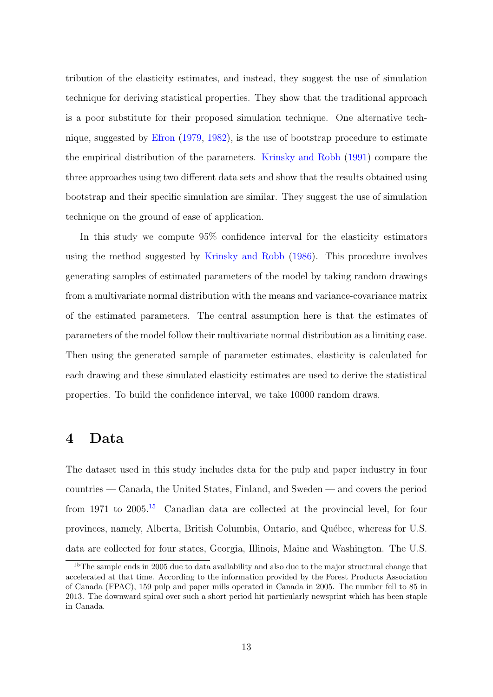tribution of the elasticity estimates, and instead, they suggest the use of simulation technique for deriving statistical properties. They show that the traditional approach is a poor substitute for their proposed simulation technique. One alternative technique, suggested by Efron (1979, 1982), is the use of bootstrap procedure to estimate the empirical distribution of the parameters. Krinsky and Robb (1991) compare the three approaches using two different data sets and show that the results obtained using bootstrap and their specific simulation are similar. They suggest the use of simulation technique on the ground of ease of application.

In this study we compute 95% confidence interval for the elasticity estimators using the method suggested by Krinsky and Robb (1986). This procedure involves generating samples of estimated parameters of the model by taking random drawings from a multivariate normal distribution with the means and variance-covariance matrix of the estimated parameters. The central assumption here is that the estimates of parameters of the model follow their multivariate normal distribution as a limiting case. Then using the generated sample of parameter estimates, elasticity is calculated for each drawing and these simulated elasticity estimates are used to derive the statistical properties. To build the confidence interval, we take 10000 random draws.

### 4 Data

The dataset used in this study includes data for the pulp and paper industry in four countries — Canada, the United States, Finland, and Sweden — and covers the period from 1971 to 2005.<sup>15</sup> Canadian data are collected at the provincial level, for four provinces, namely, Alberta, British Columbia, Ontario, and Québec, whereas for U.S. data are collected for four states, Georgia, Illinois, Maine and Washington. The U.S.

<sup>&</sup>lt;sup>15</sup>The sample ends in 2005 due to data availability and also due to the major structural change that accelerated at that time. According to the information provided by the Forest Products Association of Canada (FPAC), 159 pulp and paper mills operated in Canada in 2005. The number fell to 85 in 2013. The downward spiral over such a short period hit particularly newsprint which has been staple in Canada.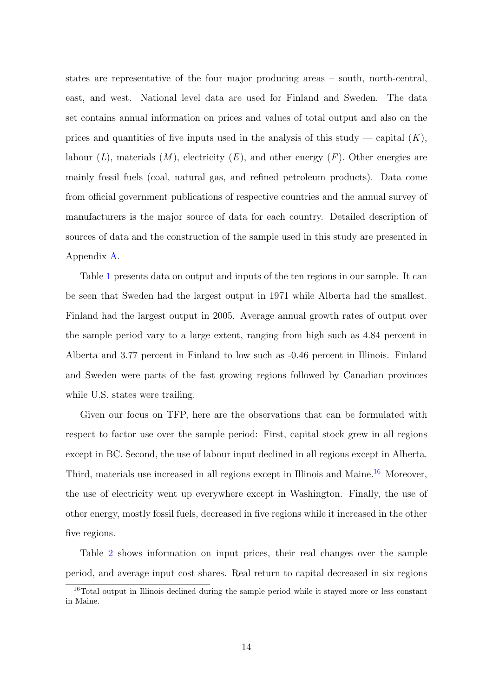states are representative of the four major producing areas – south, north-central, east, and west. National level data are used for Finland and Sweden. The data set contains annual information on prices and values of total output and also on the prices and quantities of five inputs used in the analysis of this study — capital  $(K)$ , labour  $(L)$ , materials  $(M)$ , electricity  $(E)$ , and other energy  $(F)$ . Other energies are mainly fossil fuels (coal, natural gas, and refined petroleum products). Data come from official government publications of respective countries and the annual survey of manufacturers is the major source of data for each country. Detailed description of sources of data and the construction of the sample used in this study are presented in Appendix A.

Table 1 presents data on output and inputs of the ten regions in our sample. It can be seen that Sweden had the largest output in 1971 while Alberta had the smallest. Finland had the largest output in 2005. Average annual growth rates of output over the sample period vary to a large extent, ranging from high such as 4.84 percent in Alberta and 3.77 percent in Finland to low such as -0.46 percent in Illinois. Finland and Sweden were parts of the fast growing regions followed by Canadian provinces while U.S. states were trailing.

Given our focus on TFP, here are the observations that can be formulated with respect to factor use over the sample period: First, capital stock grew in all regions except in BC. Second, the use of labour input declined in all regions except in Alberta. Third, materials use increased in all regions except in Illinois and Maine.<sup>16</sup> Moreover, the use of electricity went up everywhere except in Washington. Finally, the use of other energy, mostly fossil fuels, decreased in five regions while it increased in the other five regions.

Table 2 shows information on input prices, their real changes over the sample period, and average input cost shares. Real return to capital decreased in six regions

<sup>16</sup>Total output in Illinois declined during the sample period while it stayed more or less constant in Maine.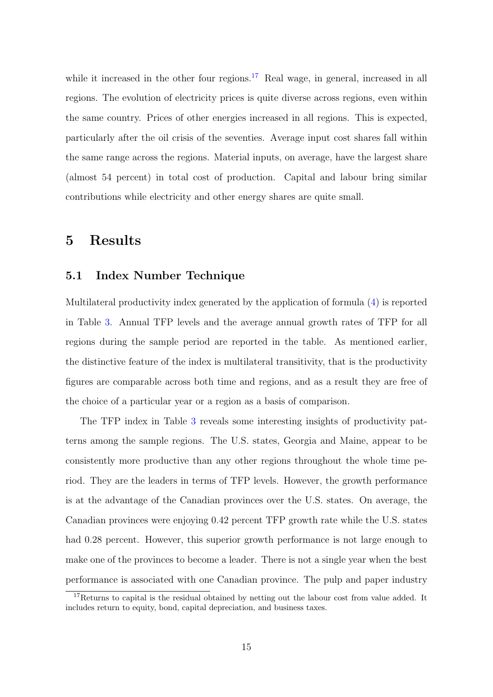while it increased in the other four regions.<sup>17</sup> Real wage, in general, increased in all regions. The evolution of electricity prices is quite diverse across regions, even within the same country. Prices of other energies increased in all regions. This is expected, particularly after the oil crisis of the seventies. Average input cost shares fall within the same range across the regions. Material inputs, on average, have the largest share (almost 54 percent) in total cost of production. Capital and labour bring similar contributions while electricity and other energy shares are quite small.

### 5 Results

#### 5.1 Index Number Technique

Multilateral productivity index generated by the application of formula (4) is reported in Table 3. Annual TFP levels and the average annual growth rates of TFP for all regions during the sample period are reported in the table. As mentioned earlier, the distinctive feature of the index is multilateral transitivity, that is the productivity figures are comparable across both time and regions, and as a result they are free of the choice of a particular year or a region as a basis of comparison.

The TFP index in Table 3 reveals some interesting insights of productivity patterns among the sample regions. The U.S. states, Georgia and Maine, appear to be consistently more productive than any other regions throughout the whole time period. They are the leaders in terms of TFP levels. However, the growth performance is at the advantage of the Canadian provinces over the U.S. states. On average, the Canadian provinces were enjoying 0.42 percent TFP growth rate while the U.S. states had 0.28 percent. However, this superior growth performance is not large enough to make one of the provinces to become a leader. There is not a single year when the best performance is associated with one Canadian province. The pulp and paper industry

<sup>&</sup>lt;sup>17</sup>Returns to capital is the residual obtained by netting out the labour cost from value added. It includes return to equity, bond, capital depreciation, and business taxes.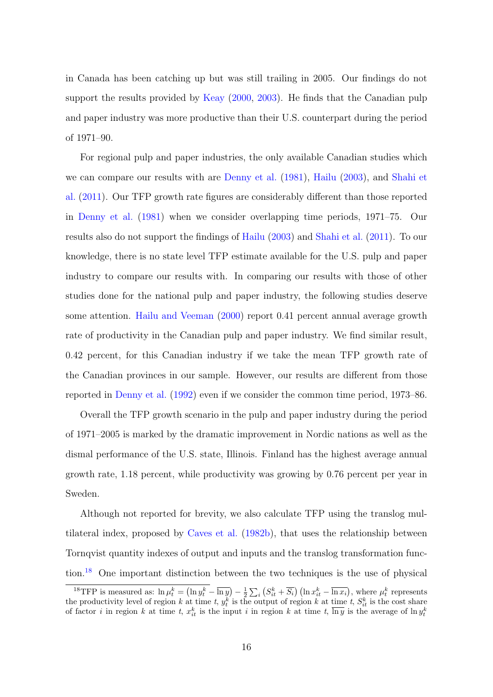in Canada has been catching up but was still trailing in 2005. Our findings do not support the results provided by Keay (2000, 2003). He finds that the Canadian pulp and paper industry was more productive than their U.S. counterpart during the period of 1971–90.

For regional pulp and paper industries, the only available Canadian studies which we can compare our results with are Denny et al. (1981), Hailu (2003), and Shahi et al. (2011). Our TFP growth rate figures are considerably different than those reported in Denny et al. (1981) when we consider overlapping time periods, 1971–75. Our results also do not support the findings of Hailu (2003) and Shahi et al. (2011). To our knowledge, there is no state level TFP estimate available for the U.S. pulp and paper industry to compare our results with. In comparing our results with those of other studies done for the national pulp and paper industry, the following studies deserve some attention. Hailu and Veeman (2000) report 0.41 percent annual average growth rate of productivity in the Canadian pulp and paper industry. We find similar result, 0.42 percent, for this Canadian industry if we take the mean TFP growth rate of the Canadian provinces in our sample. However, our results are different from those reported in Denny et al. (1992) even if we consider the common time period, 1973–86.

Overall the TFP growth scenario in the pulp and paper industry during the period of 1971–2005 is marked by the dramatic improvement in Nordic nations as well as the dismal performance of the U.S. state, Illinois. Finland has the highest average annual growth rate, 1.18 percent, while productivity was growing by 0.76 percent per year in Sweden.

Although not reported for brevity, we also calculate TFP using the translog multilateral index, proposed by Caves et al. (1982b), that uses the relationship between Tornqvist quantity indexes of output and inputs and the translog transformation function.<sup>18</sup> One important distinction between the two techniques is the use of physical

<sup>&</sup>lt;sup>18</sup>TFP is measured as:  $\ln \mu_t^k = (\ln y_t^k - \overline{\ln y}) - \frac{1}{2} \sum_i (S_{it}^k + \overline{S_i}) (\ln x_{it}^k - \overline{\ln x_i})$ , where  $\mu_t^k$  represents the productivity level of region k at time t,  $y_t^k$  is the output of region k at time t,  $S_{it}^k$  is the cost share of factor *i* in region *k* at time *t*,  $x_{it}^k$  is the input *i* in region *k* at time *t*,  $\overline{\ln y}$  is the average of  $\ln y_t^k$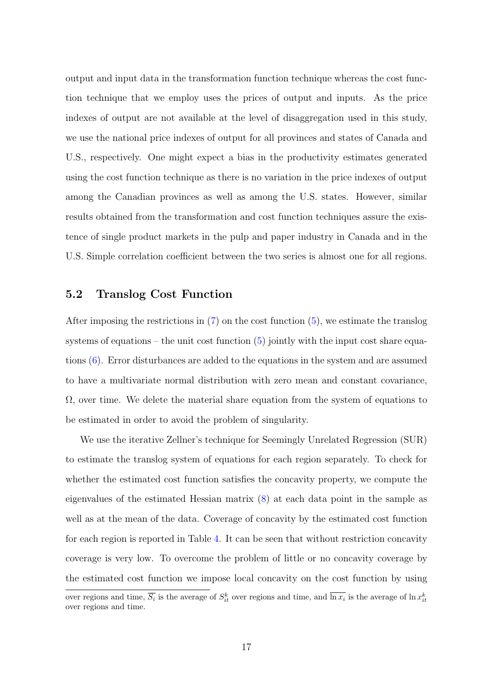output and input data in the transformation function technique whereas the cost function technique that we employ uses the prices of output and inputs. As the price indexes of output are not available at the level of disaggregation used in this study, we use the national price indexes of output for all provinces and states of Canada and U.S., respectively. One might expect a bias in the productivity estimates generated using the cost function technique as there is no variation in the price indexes of output among the Canadian provinces as well as among the U.S. states. However, similar results obtained from the transformation and cost function techniques assure the existence of single product markets in the pulp and paper industry in Canada and in the U.S. Simple correlation coefficient between the two series is almost one for all regions.

#### 5.2 Translog Cost Function

After imposing the restrictions in (7) on the cost function (5), we estimate the translog systems of equations – the unit cost function  $(5)$  jointly with the input cost share equations (6). Error disturbances are added to the equations in the system and are assumed to have a multivariate normal distribution with zero mean and constant covariance,  $\Omega$ , over time. We delete the material share equation from the system of equations to be estimated in order to avoid the problem of singularity.

We use the iterative Zellner's technique for Seemingly Unrelated Regression (SUR) to estimate the translog system of equations for each region separately. To check for whether the estimated cost function satisfies the concavity property, we compute the eigenvalues of the estimated Hessian matrix (8) at each data point in the sample as well as at the mean of the data. Coverage of concavity by the estimated cost function for each region is reported in Table 4. It can be seen that without restriction concavity coverage is very low. To overcome the problem of little or no concavity coverage by the estimated cost function we impose local concavity on the cost function by using

over regions and time,  $\overline{S_i}$  is the average of  $S_{it}^k$  over regions and time, and  $\overline{\ln x_i}$  is the average of  $\ln x_{it}^k$ over regions and time.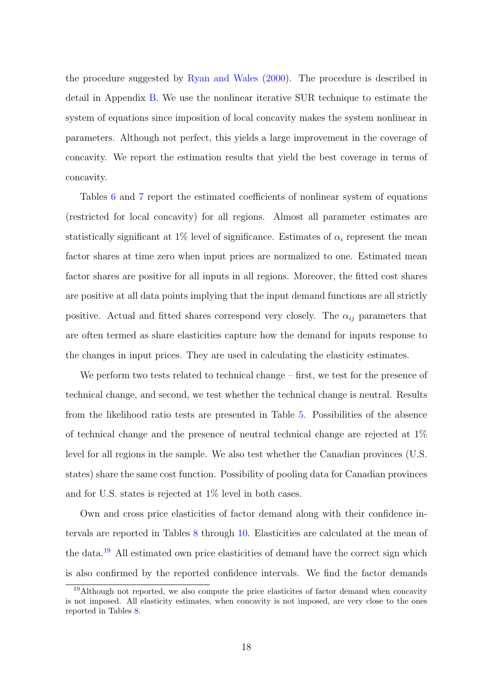the procedure suggested by Ryan and Wales (2000). The procedure is described in detail in Appendix B. We use the nonlinear iterative SUR technique to estimate the system of equations since imposition of local concavity makes the system nonlinear in parameters. Although not perfect, this yields a large improvement in the coverage of concavity. We report the estimation results that yield the best coverage in terms of concavity.

Tables 6 and 7 report the estimated coefficients of nonlinear system of equations (restricted for local concavity) for all regions. Almost all parameter estimates are statistically significant at 1% level of significance. Estimates of  $\alpha_i$  represent the mean factor shares at time zero when input prices are normalized to one. Estimated mean factor shares are positive for all inputs in all regions. Moreover, the fitted cost shares are positive at all data points implying that the input demand functions are all strictly positive. Actual and fitted shares correspond very closely. The  $\alpha_{ij}$  parameters that are often termed as share elasticities capture how the demand for inputs response to the changes in input prices. They are used in calculating the elasticity estimates.

We perform two tests related to technical change – first, we test for the presence of technical change, and second, we test whether the technical change is neutral. Results from the likelihood ratio tests are presented in Table 5. Possibilities of the absence of technical change and the presence of neutral technical change are rejected at 1% level for all regions in the sample. We also test whether the Canadian provinces (U.S. states) share the same cost function. Possibility of pooling data for Canadian provinces and for U.S. states is rejected at 1% level in both cases.

Own and cross price elasticities of factor demand along with their confidence intervals are reported in Tables 8 through 10. Elasticities are calculated at the mean of the data.<sup>19</sup> All estimated own price elasticities of demand have the correct sign which is also confirmed by the reported confidence intervals. We find the factor demands

<sup>&</sup>lt;sup>19</sup>Although not reported, we also compute the price elasticites of factor demand when concavity is not imposed. All elasticity estimates, when concavity is not imposed, are very close to the ones reported in Tables 8.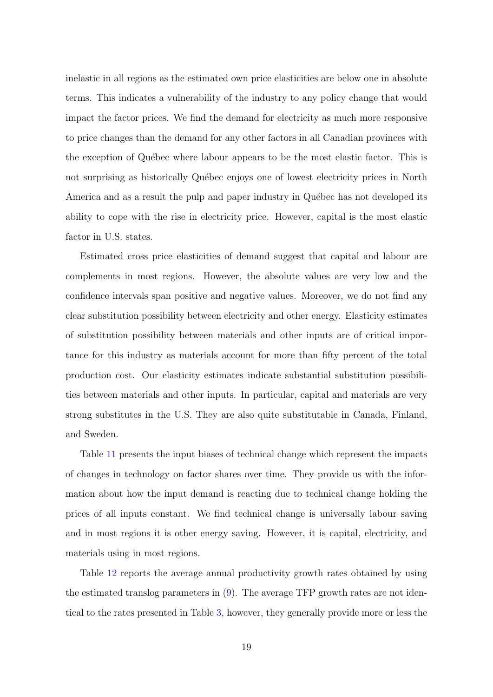inelastic in all regions as the estimated own price elasticities are below one in absolute terms. This indicates a vulnerability of the industry to any policy change that would impact the factor prices. We find the demand for electricity as much more responsive to price changes than the demand for any other factors in all Canadian provinces with the exception of Québec where labour appears to be the most elastic factor. This is not surprising as historically Québec enjoys one of lowest electricity prices in North America and as a result the pulp and paper industry in Québec has not developed its ability to cope with the rise in electricity price. However, capital is the most elastic factor in U.S. states.

Estimated cross price elasticities of demand suggest that capital and labour are complements in most regions. However, the absolute values are very low and the confidence intervals span positive and negative values. Moreover, we do not find any clear substitution possibility between electricity and other energy. Elasticity estimates of substitution possibility between materials and other inputs are of critical importance for this industry as materials account for more than fifty percent of the total production cost. Our elasticity estimates indicate substantial substitution possibilities between materials and other inputs. In particular, capital and materials are very strong substitutes in the U.S. They are also quite substitutable in Canada, Finland, and Sweden.

Table 11 presents the input biases of technical change which represent the impacts of changes in technology on factor shares over time. They provide us with the information about how the input demand is reacting due to technical change holding the prices of all inputs constant. We find technical change is universally labour saving and in most regions it is other energy saving. However, it is capital, electricity, and materials using in most regions.

Table 12 reports the average annual productivity growth rates obtained by using the estimated translog parameters in (9). The average TFP growth rates are not identical to the rates presented in Table 3, however, they generally provide more or less the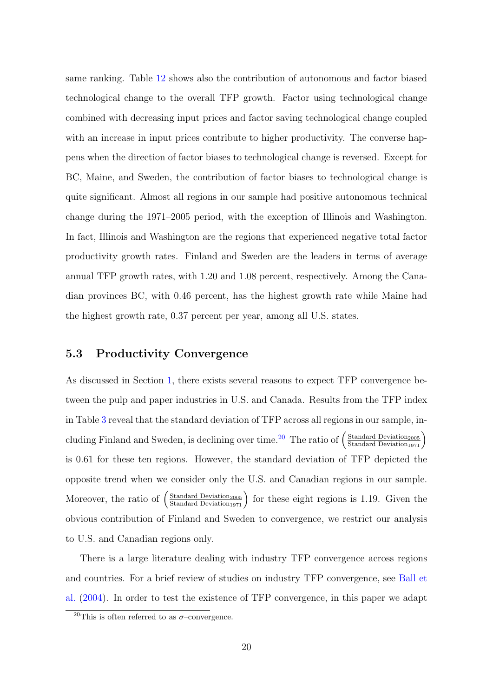same ranking. Table 12 shows also the contribution of autonomous and factor biased technological change to the overall TFP growth. Factor using technological change combined with decreasing input prices and factor saving technological change coupled with an increase in input prices contribute to higher productivity. The converse happens when the direction of factor biases to technological change is reversed. Except for BC, Maine, and Sweden, the contribution of factor biases to technological change is quite significant. Almost all regions in our sample had positive autonomous technical change during the 1971–2005 period, with the exception of Illinois and Washington. In fact, Illinois and Washington are the regions that experienced negative total factor productivity growth rates. Finland and Sweden are the leaders in terms of average annual TFP growth rates, with 1.20 and 1.08 percent, respectively. Among the Canadian provinces BC, with 0.46 percent, has the highest growth rate while Maine had the highest growth rate, 0.37 percent per year, among all U.S. states.

#### 5.3 Productivity Convergence

As discussed in Section 1, there exists several reasons to expect TFP convergence between the pulp and paper industries in U.S. and Canada. Results from the TFP index in Table 3 reveal that the standard deviation of TFP across all regions in our sample, including Finland and Sweden, is declining over time.<sup>20</sup> The ratio of  $\left(\frac{\text{Standard Deviation}_{2005}}{\text{Standard Deviation}_{1971}}\right)$ is 0.61 for these ten regions. However, the standard deviation of TFP depicted the opposite trend when we consider only the U.S. and Canadian regions in our sample. Moreover, the ratio of  $\left(\frac{\text{Standard Deviation}_{2005}}{\text{Standard Deviation}_{1971}}\right)$  for these eight regions is 1.19. Given the obvious contribution of Finland and Sweden to convergence, we restrict our analysis to U.S. and Canadian regions only.

There is a large literature dealing with industry TFP convergence across regions and countries. For a brief review of studies on industry TFP convergence, see Ball et al. (2004). In order to test the existence of TFP convergence, in this paper we adapt

<sup>&</sup>lt;sup>20</sup>This is often referred to as  $\sigma$ -convergence.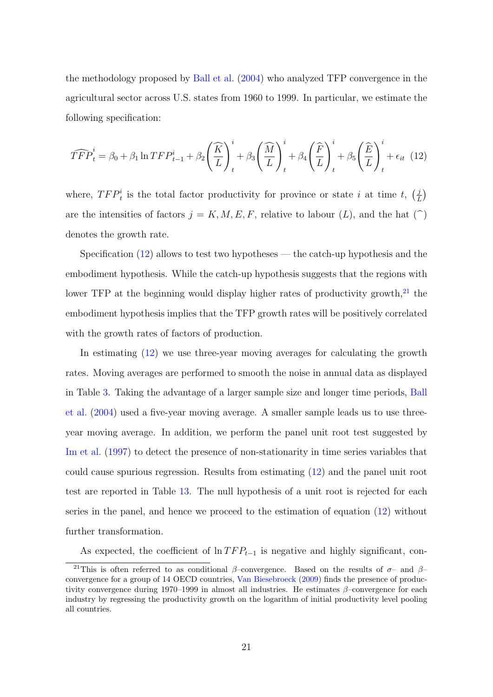the methodology proposed by Ball et al. (2004) who analyzed TFP convergence in the agricultural sector across U.S. states from 1960 to 1999. In particular, we estimate the following specification:

$$
\widehat{TFP}_t^i = \beta_0 + \beta_1 \ln TFP_{t-1}^i + \beta_2 \left(\frac{\widehat{K}}{L}\right)_t^i + \beta_3 \left(\frac{\widehat{M}}{L}\right)_t^i + \beta_4 \left(\frac{\widehat{F}}{L}\right)_t^i + \beta_5 \left(\frac{\widehat{E}}{L}\right)_t^i + \epsilon_{it} \tag{12}
$$

where,  $TFP_t^i$  is the total factor productivity for province or state i at time t,  $\left(\frac{j}{l}\right)$  $\frac{j}{L}$ are the intensities of factors  $j = K, M, E, F$ , relative to labour  $(L)$ , and the hat  $(\hat{\ })$ denotes the growth rate.

Specification  $(12)$  allows to test two hypotheses — the catch-up hypothesis and the embodiment hypothesis. While the catch-up hypothesis suggests that the regions with lower TFP at the beginning would display higher rates of productivity growth, $^{21}$  the embodiment hypothesis implies that the TFP growth rates will be positively correlated with the growth rates of factors of production.

In estimating (12) we use three-year moving averages for calculating the growth rates. Moving averages are performed to smooth the noise in annual data as displayed in Table 3. Taking the advantage of a larger sample size and longer time periods, Ball et al. (2004) used a five-year moving average. A smaller sample leads us to use threeyear moving average. In addition, we perform the panel unit root test suggested by Im et al. (1997) to detect the presence of non-stationarity in time series variables that could cause spurious regression. Results from estimating (12) and the panel unit root test are reported in Table 13. The null hypothesis of a unit root is rejected for each series in the panel, and hence we proceed to the estimation of equation (12) without further transformation.

As expected, the coefficient of  $\ln TFP_{t-1}$  is negative and highly significant, con-

<sup>&</sup>lt;sup>21</sup>This is often referred to as conditional  $\beta$ –convergence. Based on the results of  $\sigma$ – and  $\beta$ – convergence for a group of 14 OECD countries, Van Biesebroeck (2009) finds the presence of productivity convergence during 1970–1999 in almost all industries. He estimates  $\beta$ –convergence for each industry by regressing the productivity growth on the logarithm of initial productivity level pooling all countries.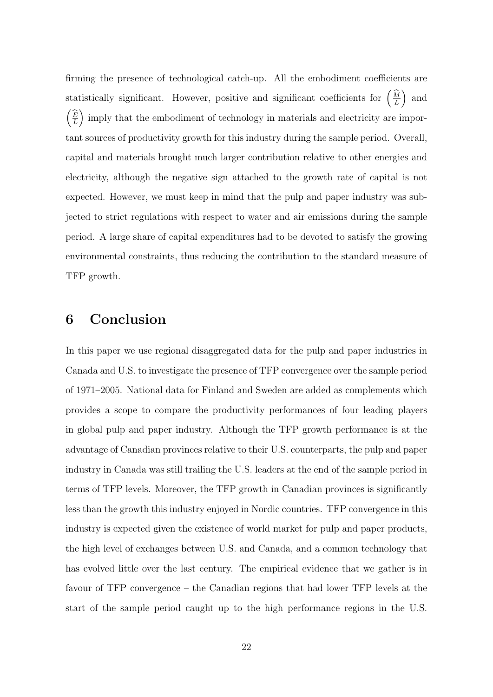firming the presence of technological catch-up. All the embodiment coefficients are statistically significant. However, positive and significant coefficients for  $\left(\frac{\widehat{M}}{L}\right)$  and  $\left(\frac{\widehat{E}}{L}\right)$  imply that the embodiment of technology in materials and electricity are important sources of productivity growth for this industry during the sample period. Overall, capital and materials brought much larger contribution relative to other energies and electricity, although the negative sign attached to the growth rate of capital is not expected. However, we must keep in mind that the pulp and paper industry was subjected to strict regulations with respect to water and air emissions during the sample period. A large share of capital expenditures had to be devoted to satisfy the growing environmental constraints, thus reducing the contribution to the standard measure of TFP growth.

## 6 Conclusion

In this paper we use regional disaggregated data for the pulp and paper industries in Canada and U.S. to investigate the presence of TFP convergence over the sample period of 1971–2005. National data for Finland and Sweden are added as complements which provides a scope to compare the productivity performances of four leading players in global pulp and paper industry. Although the TFP growth performance is at the advantage of Canadian provinces relative to their U.S. counterparts, the pulp and paper industry in Canada was still trailing the U.S. leaders at the end of the sample period in terms of TFP levels. Moreover, the TFP growth in Canadian provinces is significantly less than the growth this industry enjoyed in Nordic countries. TFP convergence in this industry is expected given the existence of world market for pulp and paper products, the high level of exchanges between U.S. and Canada, and a common technology that has evolved little over the last century. The empirical evidence that we gather is in favour of TFP convergence – the Canadian regions that had lower TFP levels at the start of the sample period caught up to the high performance regions in the U.S.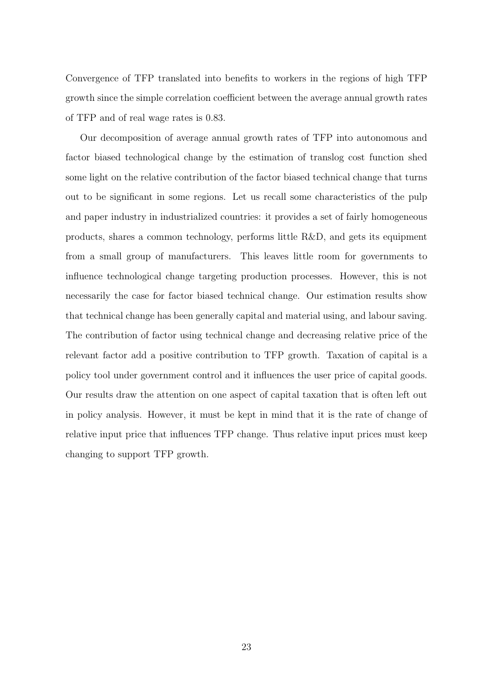Convergence of TFP translated into benefits to workers in the regions of high TFP growth since the simple correlation coefficient between the average annual growth rates of TFP and of real wage rates is 0.83.

Our decomposition of average annual growth rates of TFP into autonomous and factor biased technological change by the estimation of translog cost function shed some light on the relative contribution of the factor biased technical change that turns out to be significant in some regions. Let us recall some characteristics of the pulp and paper industry in industrialized countries: it provides a set of fairly homogeneous products, shares a common technology, performs little R&D, and gets its equipment from a small group of manufacturers. This leaves little room for governments to influence technological change targeting production processes. However, this is not necessarily the case for factor biased technical change. Our estimation results show that technical change has been generally capital and material using, and labour saving. The contribution of factor using technical change and decreasing relative price of the relevant factor add a positive contribution to TFP growth. Taxation of capital is a policy tool under government control and it influences the user price of capital goods. Our results draw the attention on one aspect of capital taxation that is often left out in policy analysis. However, it must be kept in mind that it is the rate of change of relative input price that influences TFP change. Thus relative input prices must keep changing to support TFP growth.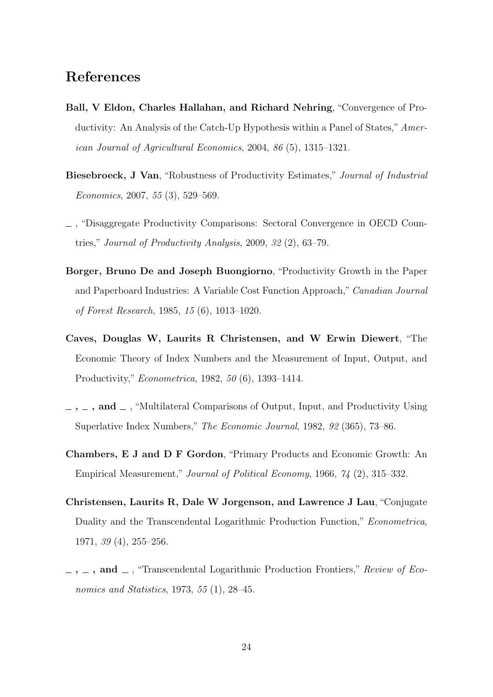## References

- Ball, V Eldon, Charles Hallahan, and Richard Nehring, "Convergence of Productivity: An Analysis of the Catch-Up Hypothesis within a Panel of States," American Journal of Agricultural Economics, 2004, 86 (5), 1315–1321.
- Biesebroeck, J Van, "Robustness of Productivity Estimates," Journal of Industrial Economics, 2007, 55 (3), 529–569.
- , "Disaggregate Productivity Comparisons: Sectoral Convergence in OECD Countries," Journal of Productivity Analysis, 2009, 32 (2), 63–79.
- Borger, Bruno De and Joseph Buongiorno, "Productivity Growth in the Paper and Paperboard Industries: A Variable Cost Function Approach," Canadian Journal of Forest Research, 1985, 15 (6), 1013–1020.
- Caves, Douglas W, Laurits R Christensen, and W Erwin Diewert, "The Economic Theory of Index Numbers and the Measurement of Input, Output, and Productivity," Econometrica, 1982, 50 (6), 1393–1414.
- $\ldots$ , and  $\ldots$ , "Multilateral Comparisons of Output, Input, and Productivity Using Superlative Index Numbers," The Economic Journal, 1982, 92 (365), 73–86.
- Chambers, E J and D F Gordon, "Primary Products and Economic Growth: An Empirical Measurement," Journal of Political Economy, 1966, 74 (2), 315–332.
- Christensen, Laurits R, Dale W Jorgenson, and Lawrence J Lau, "Conjugate Duality and the Transcendental Logarithmic Production Function," Econometrica, 1971, 39 (4), 255–256.
- $\ldots$ , and  $\ldots$ , "Transcendental Logarithmic Production Frontiers," Review of Economics and Statistics, 1973, 55 (1), 28–45.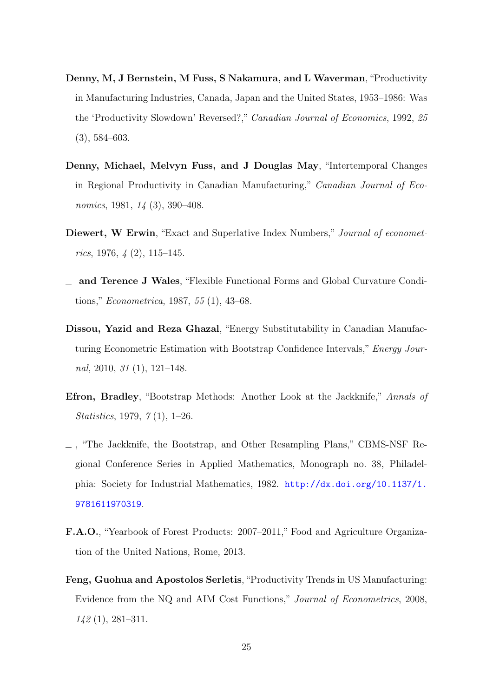- Denny, M, J Bernstein, M Fuss, S Nakamura, and L Waverman,"Productivity in Manufacturing Industries, Canada, Japan and the United States, 1953–1986: Was the 'Productivity Slowdown' Reversed?," Canadian Journal of Economics, 1992, 25 (3), 584–603.
- Denny, Michael, Melvyn Fuss, and J Douglas May, "Intertemporal Changes in Regional Productivity in Canadian Manufacturing," Canadian Journal of Economics, 1981, 14 (3), 390–408.
- Diewert, W Erwin, "Exact and Superlative Index Numbers," Journal of econometrics, 1976,  $\frac{1}{4}$  (2), 115–145.
- and Terence J Wales, "Flexible Functional Forms and Global Curvature Conditions," Econometrica, 1987, 55 (1), 43–68.
- Dissou, Yazid and Reza Ghazal, "Energy Substitutability in Canadian Manufacturing Econometric Estimation with Bootstrap Confidence Intervals," Energy Journal, 2010,  $31$  (1), 121–148.
- Efron, Bradley, "Bootstrap Methods: Another Look at the Jackknife," Annals of Statistics, 1979, 7 (1), 1–26.
- , "The Jackknife, the Bootstrap, and Other Resampling Plans," CBMS-NSF Regional Conference Series in Applied Mathematics, Monograph no. 38, Philadelphia: Society for Industrial Mathematics, 1982. [http://dx.doi.org/10.1137/1.](http://dx.doi.org/10.1137/1.9781611970319) [9781611970319](http://dx.doi.org/10.1137/1.9781611970319).
- F.A.O., "Yearbook of Forest Products: 2007–2011," Food and Agriculture Organization of the United Nations, Rome, 2013.
- Feng, Guohua and Apostolos Serletis, "Productivity Trends in US Manufacturing: Evidence from the NQ and AIM Cost Functions," Journal of Econometrics, 2008, 142 (1), 281–311.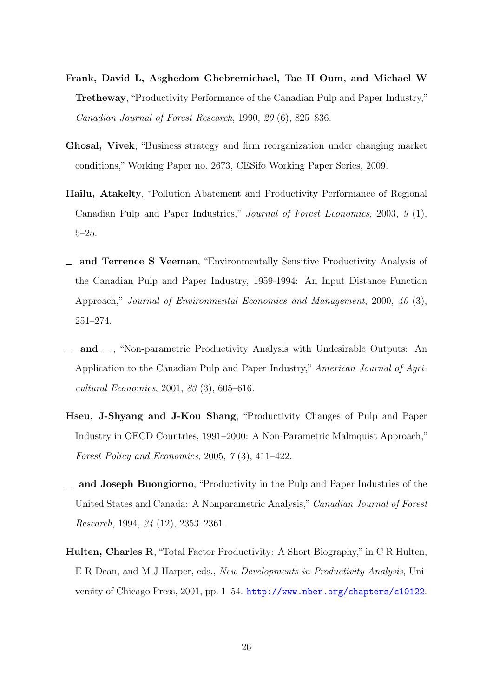- Frank, David L, Asghedom Ghebremichael, Tae H Oum, and Michael W Tretheway, "Productivity Performance of the Canadian Pulp and Paper Industry," Canadian Journal of Forest Research, 1990, 20 (6), 825–836.
- Ghosal, Vivek, "Business strategy and firm reorganization under changing market conditions," Working Paper no. 2673, CESifo Working Paper Series, 2009.
- Hailu, Atakelty, "Pollution Abatement and Productivity Performance of Regional Canadian Pulp and Paper Industries," Journal of Forest Economics, 2003, 9 (1), 5–25.
- and Terrence S Veeman, "Environmentally Sensitive Productivity Analysis of the Canadian Pulp and Paper Industry, 1959-1994: An Input Distance Function Approach," Journal of Environmental Economics and Management, 2000, 40 (3), 251–274.
- $\Box$  and  $\Box$ , "Non-parametric Productivity Analysis with Undesirable Outputs: An Application to the Canadian Pulp and Paper Industry," American Journal of Agricultural Economics, 2001, 83 (3), 605–616.
- Hseu, J-Shyang and J-Kou Shang, "Productivity Changes of Pulp and Paper Industry in OECD Countries, 1991–2000: A Non-Parametric Malmquist Approach," Forest Policy and Economics, 2005, 7 (3), 411–422.
- and Joseph Buongiorno, "Productivity in the Pulp and Paper Industries of the United States and Canada: A Nonparametric Analysis," Canadian Journal of Forest Research, 1994, 24 (12), 2353–2361.
- Hulten, Charles R, "Total Factor Productivity: A Short Biography," in C R Hulten, E R Dean, and M J Harper, eds., New Developments in Productivity Analysis, University of Chicago Press, 2001, pp. 1–54. <http://www.nber.org/chapters/c10122>.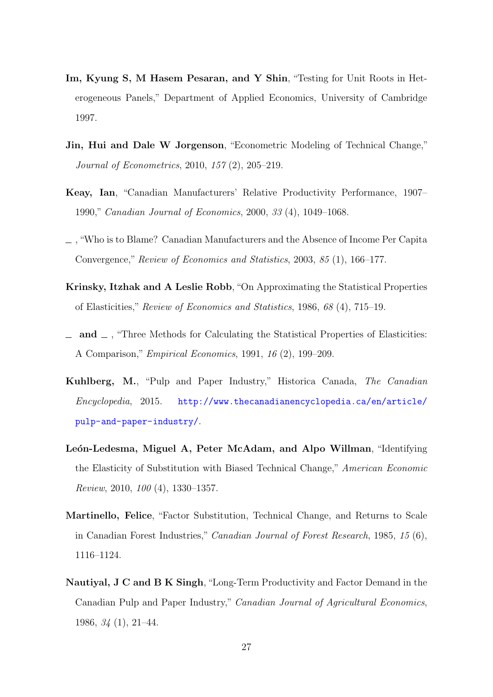- Im, Kyung S, M Hasem Pesaran, and Y Shin, "Testing for Unit Roots in Heterogeneous Panels," Department of Applied Economics, University of Cambridge 1997.
- Jin, Hui and Dale W Jorgenson, "Econometric Modeling of Technical Change," Journal of Econometrics, 2010, 157 (2), 205–219.
- Keay, Ian, "Canadian Manufacturers' Relative Productivity Performance, 1907– 1990," Canadian Journal of Economics, 2000, 33 (4), 1049–1068.
- , "Who is to Blame? Canadian Manufacturers and the Absence of Income Per Capita Convergence," Review of Economics and Statistics, 2003, 85 (1), 166–177.
- Krinsky, Itzhak and A Leslie Robb, "On Approximating the Statistical Properties of Elasticities," Review of Economics and Statistics, 1986, 68 (4), 715–19.
- $\Box$  and  $\Box$ , "Three Methods for Calculating the Statistical Properties of Elasticities: A Comparison," Empirical Economics, 1991, 16 (2), 199–209.
- Kuhlberg, M., "Pulp and Paper Industry," Historica Canada, The Canadian Encyclopedia, 2015. [http://www.thecanadianencyclopedia.ca/en/article/](http://www.thecanadianencyclopedia.ca/en/article/pulp-and-paper-industry/) [pulp-and-paper-industry/](http://www.thecanadianencyclopedia.ca/en/article/pulp-and-paper-industry/).
- León-Ledesma, Miguel A, Peter McAdam, and Alpo Willman, "Identifying the Elasticity of Substitution with Biased Technical Change," American Economic Review, 2010, 100 (4), 1330–1357.
- Martinello, Felice, "Factor Substitution, Technical Change, and Returns to Scale in Canadian Forest Industries," Canadian Journal of Forest Research, 1985, 15 (6), 1116–1124.
- Nautiyal, J C and B K Singh, "Long-Term Productivity and Factor Demand in the Canadian Pulp and Paper Industry," Canadian Journal of Agricultural Economics, 1986, 34 (1), 21–44.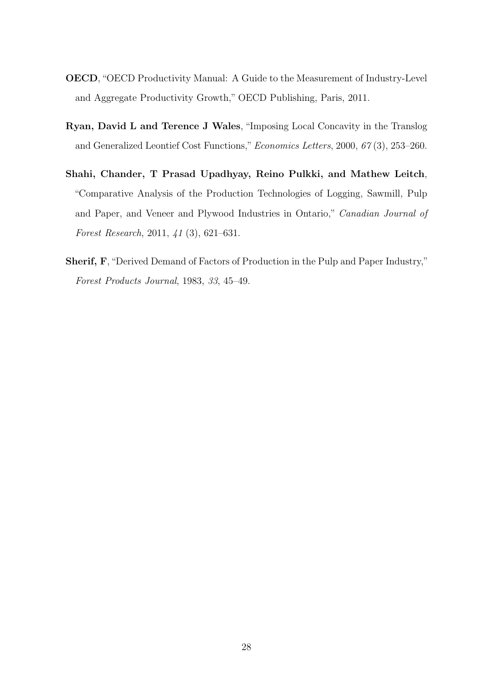- OECD, "OECD Productivity Manual: A Guide to the Measurement of Industry-Level and Aggregate Productivity Growth," OECD Publishing, Paris, 2011.
- Ryan, David L and Terence J Wales, "Imposing Local Concavity in the Translog and Generalized Leontief Cost Functions,"Economics Letters, 2000, 67 (3), 253–260.
- Shahi, Chander, T Prasad Upadhyay, Reino Pulkki, and Mathew Leitch, "Comparative Analysis of the Production Technologies of Logging, Sawmill, Pulp and Paper, and Veneer and Plywood Industries in Ontario," Canadian Journal of Forest Research, 2011, 41 (3), 621–631.
- Sherif, F, "Derived Demand of Factors of Production in the Pulp and Paper Industry," Forest Products Journal, 1983, 33, 45–49.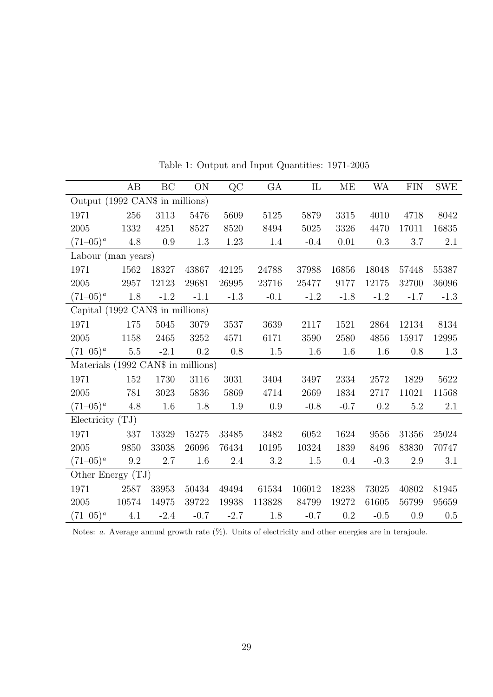|                                    | AB      | BC      | ON        | QC     | GA      | IL     | ME       | WA      | <b>FIN</b> | <b>SWE</b> |
|------------------------------------|---------|---------|-----------|--------|---------|--------|----------|---------|------------|------------|
| Output (1992 CAN\$ in millions)    |         |         |           |        |         |        |          |         |            |            |
| 1971                               | 256     | 3113    | 5476      | 5609   | 5125    | 5879   | 3315     | 4010    | 4718       | 8042       |
| 2005                               | 1332    | 4251    | 8527      | 8520   | 8494    | 5025   | $3326\,$ | 4470    | 17011      | 16835      |
| $(71-05)^{a}$                      | 4.8     | $0.9\,$ | 1.3       | 1.23   | 1.4     | $-0.4$ | 0.01     | $0.3\,$ | 3.7        | 2.1        |
| Labour (man years)                 |         |         |           |        |         |        |          |         |            |            |
| 1971                               | 1562    | 18327   | 43867     | 42125  | 24788   | 37988  | 16856    | 18048   | 57448      | 55387      |
| 2005                               | 2957    | 12123   | 29681     | 26995  | 23716   | 25477  | 9177     | 12175   | 32700      | 36096      |
| $(71-05)^{a}$                      | 1.8     | $-1.2$  | $-1.1$    | $-1.3$ | $-0.1$  | $-1.2$ | $-1.8$   | $-1.2$  | $-1.7$     | $-1.3$     |
| Capital (1992 CAN\$ in millions)   |         |         |           |        |         |        |          |         |            |            |
| 1971                               | 175     | 5045    | 3079      | 3537   | 3639    | 2117   | 1521     | 2864    | 12134      | 8134       |
| 2005                               | 1158    | 2465    | 3252      | 4571   | 6171    | 3590   | 2580     | 4856    | 15917      | 12995      |
| $(71-05)^{a}$                      | $5.5\,$ | $-2.1$  | 0.2       | 0.8    | 1.5     | 1.6    | 1.6      | 1.6     | 0.8        | 1.3        |
| Materials (1992 CAN\$ in millions) |         |         |           |        |         |        |          |         |            |            |
| 1971                               | 152     | 1730    | 3116      | 3031   | 3404    | 3497   | 2334     | 2572    | 1829       | 5622       |
| 2005                               | 781     | 3023    | 5836      | 5869   | 4714    | 2669   | 1834     | 2717    | 11021      | 11568      |
| $(71-05)^{a}$                      | 4.8     | 1.6     | 1.8       | 1.9    | 0.9     | $-0.8$ | $-0.7$   | 0.2     | 5.2        | 2.1        |
| Electricity $(TJ)$                 |         |         |           |        |         |        |          |         |            |            |
| 1971                               | 337     | 13329   | 15275     | 33485  | 3482    | 6052   | 1624     | 9556    | 31356      | 25024      |
| 2005                               | 9850    | 33038   | 26096     | 76434  | 10195   | 10324  | 1839     | 8496    | 83830      | 70747      |
| $(71-05)^{a}$                      | $9.2\,$ | 2.7     | 1.6       | 2.4    | $3.2\,$ | 1.5    | $0.4\,$  | $-0.3$  | 2.9        | 3.1        |
| Other Energy $(TJ)$                |         |         |           |        |         |        |          |         |            |            |
| 1971                               | 2587    | 33953   | 50434     | 49494  | 61534   | 106012 | 18238    | 73025   | 40802      | 81945      |
| 2005                               | 10574   | 14975   | $39722\,$ | 19938  | 113828  | 84799  | 19272    | 61605   | 56799      | 95659      |
| $(71-05)^{a}$                      | 4.1     | $-2.4$  | $-0.7$    | $-2.7$ | 1.8     | $-0.7$ | 0.2      | $-0.5$  | 0.9        | 0.5        |

Table 1: Output and Input Quantities: 1971-2005

Notes: *a.* Average annual growth rate  $(\%)$ . Units of electricity and other energies are in terajoule.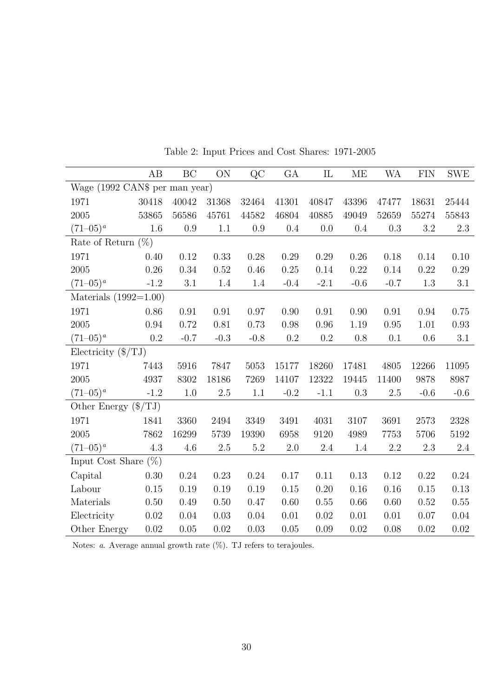|                                | AB     | BC     | ON      | QC       | GA      | IL      | ME      | WA      | <b>FIN</b> | ${\rm SWE}$ |
|--------------------------------|--------|--------|---------|----------|---------|---------|---------|---------|------------|-------------|
| Wage (1992 CAN\$ per man year) |        |        |         |          |         |         |         |         |            |             |
| 1971                           | 30418  | 40042  | 31368   | 32464    | 41301   | 40847   | 43396   | 47477   | 18631      | 25444       |
| 2005                           | 53865  | 56586  | 45761   | 44582    | 46804   | 40885   | 49049   | 52659   | 55274      | 55843       |
| $(71-05)^{a}$                  | 1.6    | 0.9    | 1.1     | 0.9      | $0.4\,$ | 0.0     | 0.4     | 0.3     | $3.2\,$    | 2.3         |
| Rate of Return $(\%)$          |        |        |         |          |         |         |         |         |            |             |
| 1971                           | 0.40   | 0.12   | 0.33    | 0.28     | 0.29    | 0.29    | 0.26    | 0.18    | 0.14       | 0.10        |
| 2005                           | 0.26   | 0.34   | 0.52    | 0.46     | 0.25    | 0.14    | 0.22    | 0.14    | 0.22       | 0.29        |
| $(71-05)^{a}$                  | $-1.2$ | 3.1    | $1.4\,$ | $1.4\,$  | $-0.4$  | $-2.1$  | $-0.6$  | $-0.7$  | $1.3\,$    | 3.1         |
| Materials $(1992=1.00)$        |        |        |         |          |         |         |         |         |            |             |
| 1971                           | 0.86   | 0.91   | 0.91    | 0.97     | 0.90    | 0.91    | 0.90    | 0.91    | 0.94       | 0.75        |
| 2005                           | 0.94   | 0.72   | 0.81    | 0.73     | 0.98    | 0.96    | 1.19    | 0.95    | 1.01       | 0.93        |
| $(71-05)^{a}$                  | 0.2    | $-0.7$ | $-0.3$  | $-0.8$   | 0.2     | 0.2     | 0.8     | 0.1     | 0.6        | 3.1         |
| Electricity $(\frac{f}{TJ})$   |        |        |         |          |         |         |         |         |            |             |
| 1971                           | 7443   | 5916   | 7847    | 5053     | 15177   | 18260   | 17481   | 4805    | 12266      | 11095       |
| 2005                           | 4937   | 8302   | 18186   | 7269     | 14107   | 12322   | 19445   | 11400   | 9878       | 8987        |
| $(71-05)^{a}$                  | $-1.2$ | 1.0    | $2.5\,$ | $1.1\,$  | $-0.2$  | $-1.1$  | $0.3\,$ | $2.5\,$ | $-0.6$     | $-0.6$      |
| Other Energy $(\frac{f}{TJ})$  |        |        |         |          |         |         |         |         |            |             |
| 1971                           | 1841   | 3360   | 2494    | 3349     | 3491    | 4031    | 3107    | 3691    | 2573       | 2328        |
| 2005                           | 7862   | 16299  | 5739    | 19390    | 6958    | 9120    | 4989    | 7753    | 5706       | 5192        |
| $(71-05)^{a}$                  | 4.3    | 4.6    | $2.5\,$ | $5.2\,$  | $2.0\,$ | $2.4\,$ | 1.4     | $2.2\,$ | $2.3\,$    | $2.4\,$     |
| Input Cost Share $(\%)$        |        |        |         |          |         |         |         |         |            |             |
| Capital                        | 0.30   | 0.24   | 0.23    | 0.24     | 0.17    | 0.11    | 0.13    | 0.12    | 0.22       | 0.24        |
| Labour                         | 0.15   | 0.19   | 0.19    | 0.19     | 0.15    | 0.20    | 0.16    | 0.16    | 0.15       | 0.13        |
| Materials                      | 0.50   | 0.49   | 0.50    | $0.47\,$ | 0.60    | 0.55    | 0.66    | 0.60    | 0.52       | $0.55\,$    |
| Electricity                    | 0.02   | 0.04   | 0.03    | 0.04     | 0.01    | 0.02    | 0.01    | 0.01    | 0.07       | $0.04\,$    |
| Other Energy                   | 0.02   | 0.05   | 0.02    | 0.03     | 0.05    | 0.09    | 0.02    | 0.08    | 0.02       | 0.02        |

Table 2: Input Prices and Cost Shares: 1971-2005

Notes:  $a$ . Average annual growth rate  $(\%)$ . TJ refers to terajoules.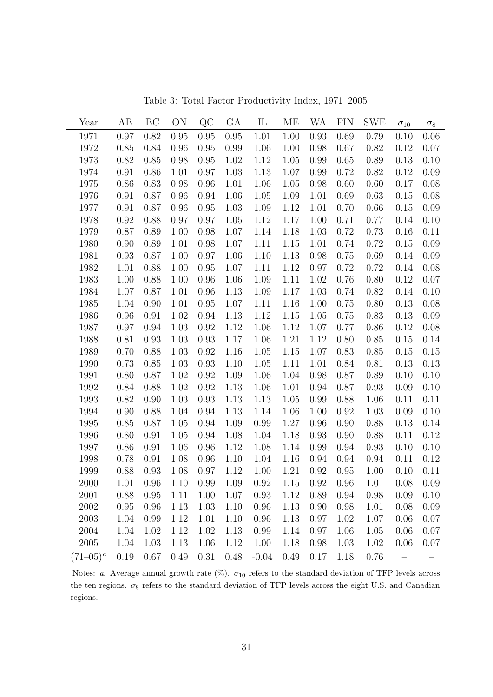| Year          | AB   | BC   | ON   | $\rm QC$ | GА   | $\mathop{\mathrm{IL}}\nolimits$ | МE   | WA   | <b>FIN</b> | SWE  | $\sigma_{10}$            | $\sigma_8$               |
|---------------|------|------|------|----------|------|---------------------------------|------|------|------------|------|--------------------------|--------------------------|
| 1971          | 0.97 | 0.82 | 0.95 | 0.95     | 0.95 | 1.01                            | 1.00 | 0.93 | 0.69       | 0.79 | 0.10                     | 0.06                     |
| 1972          | 0.85 | 0.84 | 0.96 | 0.95     | 0.99 | 1.06                            | 1.00 | 0.98 | 0.67       | 0.82 | 0.12                     | 0.07                     |
| 1973          | 0.82 | 0.85 | 0.98 | 0.95     | 1.02 | 1.12                            | 1.05 | 0.99 | 0.65       | 0.89 | 0.13                     | 0.10                     |
| 1974          | 0.91 | 0.86 | 1.01 | 0.97     | 1.03 | 1.13                            | 1.07 | 0.99 | 0.72       | 0.82 | 0.12                     | 0.09                     |
| 1975          | 0.86 | 0.83 | 0.98 | 0.96     | 1.01 | 1.06                            | 1.05 | 0.98 | 0.60       | 0.60 | 0.17                     | 0.08                     |
| 1976          | 0.91 | 0.87 | 0.96 | 0.94     | 1.06 | 1.05                            | 1.09 | 1.01 | 0.69       | 0.63 | 0.15                     | 0.08                     |
| 1977          | 0.91 | 0.87 | 0.96 | 0.95     | 1.03 | 1.09                            | 1.12 | 1.01 | 0.70       | 0.66 | 0.15                     | 0.09                     |
| 1978          | 0.92 | 0.88 | 0.97 | 0.97     | 1.05 | 1.12                            | 1.17 | 1.00 | 0.71       | 0.77 | 0.14                     | 0.10                     |
| 1979          | 0.87 | 0.89 | 1.00 | 0.98     | 1.07 | 1.14                            | 1.18 | 1.03 | 0.72       | 0.73 | 0.16                     | 0.11                     |
| 1980          | 0.90 | 0.89 | 1.01 | 0.98     | 1.07 | 1.11                            | 1.15 | 1.01 | 0.74       | 0.72 | 0.15                     | 0.09                     |
| 1981          | 0.93 | 0.87 | 1.00 | 0.97     | 1.06 | 1.10                            | 1.13 | 0.98 | 0.75       | 0.69 | 0.14                     | 0.09                     |
| 1982          | 1.01 | 0.88 | 1.00 | 0.95     | 1.07 | 1.11                            | 1.12 | 0.97 | 0.72       | 0.72 | 0.14                     | 0.08                     |
| 1983          | 1.00 | 0.88 | 1.00 | 0.96     | 1.06 | 1.09                            | 1.11 | 1.02 | 0.76       | 0.80 | 0.12                     | $0.07\,$                 |
| 1984          | 1.07 | 0.87 | 1.01 | 0.96     | 1.13 | 1.09                            | 1.17 | 1.03 | 0.74       | 0.82 | 0.14                     | 0.10                     |
| 1985          | 1.04 | 0.90 | 1.01 | 0.95     | 1.07 | 1.11                            | 1.16 | 1.00 | 0.75       | 0.80 | 0.13                     | 0.08                     |
| 1986          | 0.96 | 0.91 | 1.02 | 0.94     | 1.13 | 1.12                            | 1.15 | 1.05 | 0.75       | 0.83 | 0.13                     | 0.09                     |
| 1987          | 0.97 | 0.94 | 1.03 | 0.92     | 1.12 | 1.06                            | 1.12 | 1.07 | 0.77       | 0.86 | 0.12                     | 0.08                     |
| 1988          | 0.81 | 0.93 | 1.03 | 0.93     | 1.17 | 1.06                            | 1.21 | 1.12 | 0.80       | 0.85 | 0.15                     | 0.14                     |
| 1989          | 0.70 | 0.88 | 1.03 | 0.92     | 1.16 | 1.05                            | 1.15 | 1.07 | 0.83       | 0.85 | 0.15                     | 0.15                     |
| 1990          | 0.73 | 0.85 | 1.03 | 0.93     | 1.10 | 1.05                            | 1.11 | 1.01 | 0.84       | 0.81 | 0.13                     | 0.13                     |
| 1991          | 0.80 | 0.87 | 1.02 | 0.92     | 1.09 | 1.06                            | 1.04 | 0.98 | 0.87       | 0.89 | 0.10                     | 0.10                     |
| 1992          | 0.84 | 0.88 | 1.02 | 0.92     | 1.13 | 1.06                            | 1.01 | 0.94 | 0.87       | 0.93 | 0.09                     | 0.10                     |
| 1993          | 0.82 | 0.90 | 1.03 | 0.93     | 1.13 | 1.13                            | 1.05 | 0.99 | 0.88       | 1.06 | 0.11                     | 0.11                     |
| 1994          | 0.90 | 0.88 | 1.04 | 0.94     | 1.13 | 1.14                            | 1.06 | 1.00 | 0.92       | 1.03 | 0.09                     | 0.10                     |
| 1995          | 0.85 | 0.87 | 1.05 | 0.94     | 1.09 | 0.99                            | 1.27 | 0.96 | 0.90       | 0.88 | 0.13                     | 0.14                     |
| 1996          | 0.80 | 0.91 | 1.05 | 0.94     | 1.08 | 1.04                            | 1.18 | 0.93 | 0.90       | 0.88 | 0.11                     | 0.12                     |
| 1997          | 0.86 | 0.91 | 1.06 | 0.96     | 1.12 | 1.08                            | 1.14 | 0.99 | 0.94       | 0.93 | 0.10                     | 0.10                     |
| 1998          | 0.78 | 0.91 | 1.08 | 0.96     | 1.10 | 1.04                            | 1.16 | 0.94 | 0.94       | 0.94 | 0.11                     | 0.12                     |
| 1999          | 0.88 | 0.93 | 1.08 | 0.97     | 1.12 | 1.00                            | 1.21 | 0.92 | 0.95       | 1.00 | 0.10                     | 0.11                     |
| 2000          | 1.01 | 0.96 | 1.10 | 0.99     | 1.09 | 0.92                            | 1.15 | 0.92 | 0.96       | 1.01 | 0.08                     | 0.09                     |
| 2001          | 0.88 | 0.95 | 1.11 | 1.00     | 1.07 | 0.93                            | 1.12 | 0.89 | 0.94       | 0.98 | 0.09                     | 0.10                     |
| 2002          | 0.95 | 0.96 | 1.13 | 1.03     | 1.10 | 0.96                            | 1.13 | 0.90 | 0.98       | 1.01 | 0.08                     | 0.09                     |
| 2003          | 1.04 | 0.99 | 1.12 | 1.01     | 1.10 | 0.96                            | 1.13 | 0.97 | 1.02       | 1.07 | 0.06                     | 0.07                     |
| 2004          | 1.04 | 1.02 | 1.12 | 1.02     | 1.13 | 0.99                            | 1.14 | 0.97 | 1.06       | 1.05 | 0.06                     | 0.07                     |
| 2005          | 1.04 | 1.03 | 1.13 | 1.06     | 1.12 | 1.00                            | 1.18 | 0.98 | 1.03       | 1.02 | 0.06                     | 0.07                     |
| $(71-05)^{a}$ | 0.19 | 0.67 | 0.49 | 0.31     | 0.48 | $-0.04$                         | 0.49 | 0.17 | 1.18       | 0.76 | $\overline{\phantom{0}}$ | $\overline{\phantom{0}}$ |

Table 3: Total Factor Productivity Index, 1971–2005

Notes: a. Average annual growth rate  $(\%)$ .  $\sigma_{10}$  refers to the standard deviation of TFP levels across the ten regions.  $\sigma_8$  refers to the standard deviation of TFP levels across the eight U.S. and Canadian regions.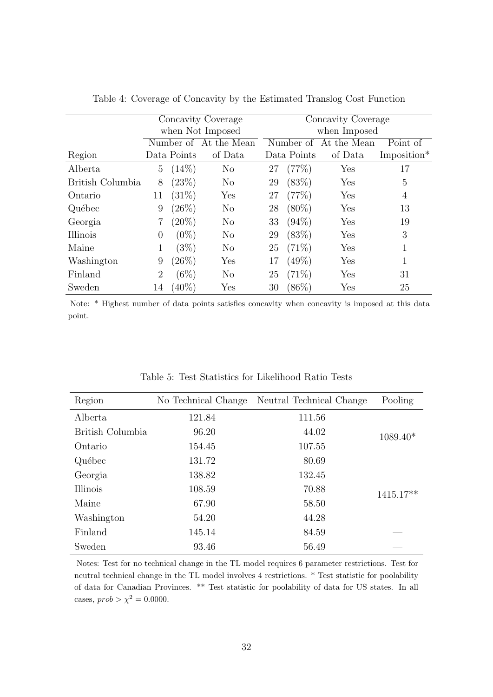|                  |                |             | Concavity Coverage    | Concavity Coverage |             |                       |             |  |
|------------------|----------------|-------------|-----------------------|--------------------|-------------|-----------------------|-------------|--|
|                  |                |             | when Not Imposed      | when Imposed       |             |                       |             |  |
|                  |                |             | Number of At the Mean |                    |             | Number of At the Mean | Point of    |  |
| Region           |                | Data Points | of Data               |                    | Data Points | of Data               | Imposition* |  |
| Alberta          | 5              | $(14\%)$    | N <sub>o</sub>        | 27                 | (77%)       | ${\rm Yes}$           | 17          |  |
| British Columbia | 8              | (23%)       | N <sub>o</sub>        | 29                 | (83%)       | Yes                   | 5           |  |
| Ontario          | 11             | (31%)       | Yes                   | 27                 | (77%)       | Yes                   | 4           |  |
| Québec           | 9              | $(26\%)$    | $\rm No$              | 28                 | $(80\%)$    | Yes                   | 13          |  |
| Georgia          | $\overline{7}$ | $(20\%)$    | N <sub>o</sub>        | 33                 | $(94\%)$    | Yes                   | 19          |  |
| Illinois         | 0              | $(0\%)$     | $\rm No$              | 29                 | (83%)       | Yes                   | 3           |  |
| Maine            | 1              | (3%)        | $\rm No$              | 25                 | (71%)       | Yes                   |             |  |
| Washington       | 9              | $(26\%)$    | $\operatorname{Yes}$  | 17                 | $(49\%)$    | Yes                   |             |  |
| Finland          | $\overline{2}$ | (6%)        | $\rm No$              | 25                 | $(71\%)$    | Yes                   | 31          |  |
| Sweden           | 14             | $(40\%)$    | Yes                   | 30                 | $(86\%)$    | ${\rm Yes}$           | 25          |  |

Table 4: Coverage of Concavity by the Estimated Translog Cost Function

Note: \* Highest number of data points satisfies concavity when concavity is imposed at this data point.

| Region           | No Technical Change | Neutral Technical Change | Pooling    |
|------------------|---------------------|--------------------------|------------|
| Alberta          | 121.84              | 111.56                   |            |
| British Columbia | 96.20               | 44.02                    | $1089.40*$ |
| Ontario          | 154.45              | 107.55                   |            |
| Québec           | 131.72              | 80.69                    |            |
| Georgia          | 138.82              | 132.45                   |            |
| Illinois         | 108.59              | 70.88                    | 1415.17**  |
| Maine            | 67.90               | 58.50                    |            |
| Washington       | 54.20               | 44.28                    |            |
| Finland          | 145.14              | 84.59                    |            |
| Sweden           | 93.46               | 56.49                    |            |

Table 5: Test Statistics for Likelihood Ratio Tests

Notes: Test for no technical change in the TL model requires 6 parameter restrictions. Test for neutral technical change in the TL model involves 4 restrictions. \* Test statistic for poolability of data for Canadian Provinces. \*\* Test statistic for poolability of data for US states. In all cases,  $prob > \chi^2 = 0.0000$ .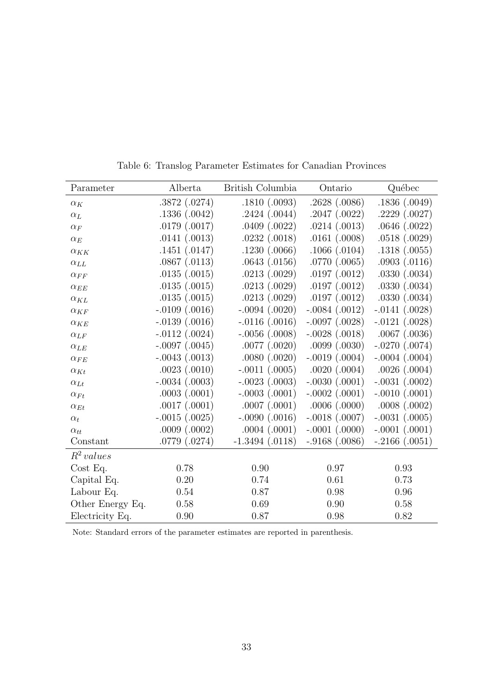| Parameter        | Alberta            | British Columbia    | Ontario            | Québec             |
|------------------|--------------------|---------------------|--------------------|--------------------|
| $\alpha_K$       | .3872(.0274)       | .1810(.0093)        | .2628(.0086)       | .1836(.0049)       |
| $\alpha_L$       | .1336(.0042)       | .2424(.0044)        | .2047(.0022)       | .2229(.0027)       |
| $\alpha_F$       | .0179(.0017)       | .0409(.0022)        | .0214(.0013)       | .0646(.0022)       |
| $\alpha_E$       | .0141(.0013)       | .0232(.0018)        | .0161(.0008)       | .0518(.0029)       |
| $\alpha_{KK}$    | .1451(.0147)       | .1230(.0066)        | .1066(.0104)       | .1318(.0055)       |
| $\alpha_{LL}$    | .0867(.0113)       | .0643(.0156)        | .0770(.0065)       | .0903(.0116)       |
| $\alpha_{FF}$    | .0135(.0015)       | .0213(.0029)        | .0197(.0012)       | .0330(.0034)       |
| $\alpha_{EE}$    | .0135(.0015)       | .0213(.0029)        | .0197(.0012)       | .0330(.0034)       |
| $\alpha_{KL}$    | .0135(.0015)       | .0213(.0029)        | .0197(.0012)       | .0330(.0034)       |
| $\alpha_{KF}$    | $-.0109(.0016)$    | $-.0094(.0020)$     | $-.0084(.0012)$    | $-.0141(.0028)$    |
| $\alpha_{KE}$    | $-.0139(.0016)$    | $-.0116(.0016)$     | $-.0097(.0028)$    | $-.0121(.0028)$    |
| $\alpha_{LF}$    | $-.0112(.0024)$    | $-.0056(.0008)$     | $-.0028(.0018)$    | $.0067$ $(.0036)$  |
| $\alpha_{LE}$    | $-.0097(.0045)$    | .0077(.0020)        | .0099(.0030)       | $-.0270(.0074)$    |
| $\alpha_{FE}$    | $-.0043$ $(.0013)$ | .0080(.0020)        | $-.0019$ $(.0004)$ | $-.0004$ $(.0004)$ |
| $\alpha_{Kt}$    | .0023(.0010)       | $-.0011(.0005)$     | $.0020$ $(.0004)$  | .0026(.0004)       |
| $\alpha_{Lt}$    | $-.0034$ $(.0003)$ | $-.0023(.0003)$     | $-.0030(.0001)$    | $-.0031$ $(.0002)$ |
| $\alpha_{Ft}$    | .0003(.0001)       | $-.0003(.0001)$     | $-.0002(.0001)$    | $-.0010(.0001)$    |
| $\alpha_{Et}$    | .0017(.0001)       | .0007(.0001)        | .0006(.0000)       | .0008(.0002)       |
| $\alpha_t$       | $-.0015(.0025)$    | $-.0090(.0016)$     | $-.0018(.0007)$    | $-.0031(.0005)$    |
| $\alpha_{tt}$    | .0009(.0002)       | .0004(.0001)        | $-.0001(.0000)$    | $-.0001(.0001)$    |
| Constant         | .0779(.0274)       | $-1.3494$ $(.0118)$ | $-.9168(.0086)$    | $-.2166(.0051)$    |
| $R^2$ values     |                    |                     |                    |                    |
| Cost Eq.         | 0.78               | 0.90                | 0.97               | 0.93               |
| Capital Eq.      | 0.20               | 0.74                | 0.61               | 0.73               |
| Labour Eq.       | 0.54               | 0.87                | 0.98               | 0.96               |
| Other Energy Eq. | 0.58               | 0.69                | 0.90               | 0.58               |
| Electricity Eq.  | 0.90               | 0.87                | 0.98               | 0.82               |

Table 6: Translog Parameter Estimates for Canadian Provinces

Note: Standard errors of the parameter estimates are reported in parenthesis.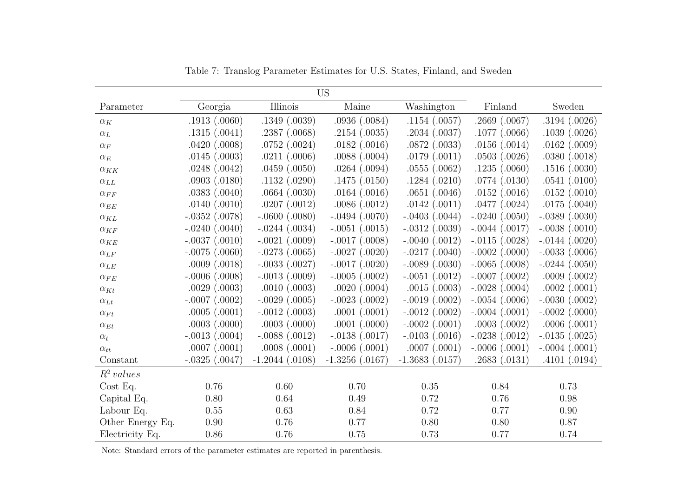| <b>US</b>        |                   |                    |                   |                    |                   |                    |  |  |  |  |  |
|------------------|-------------------|--------------------|-------------------|--------------------|-------------------|--------------------|--|--|--|--|--|
| Parameter        | Georgia           | Illinois           | Maine             | Washington         | Finland           | Sweden             |  |  |  |  |  |
| $\alpha_K$       | .1913(.0060)      | .1349(.0039)       | .0936(.0084)      | .1154(.0057)       | .2669(.0067)      | .3194(.0026)       |  |  |  |  |  |
| $\alpha_L$       | .1315(.0041)      | .2387(.0068)       | .2154(.0035)      | .2034(.0037)       | $.1077$ $(.0066)$ | .1039(.0026)       |  |  |  |  |  |
| $\alpha_F$       | .0420(.0008)      | .0752(.0024)       | .0182(.0016)      | .0872(.0033)       | .0156(.0014)      | $.0162$ $(.0009)$  |  |  |  |  |  |
| $\alpha_E$       | .0145(.0003)      | .0211(.0006)       | .0088(.0004)      | .0179(.0011)       | .0503(.0026)      | .0380(.0018)       |  |  |  |  |  |
| $\alpha_{KK}$    | .0248(.0042)      | .0459(.0050)       | $.0264$ $(.0094)$ | .0555(.0062)       | .1235(.0060)      | .1516(.0030)       |  |  |  |  |  |
| $\alpha_{LL}$    | .0903(.0180)      | .1132(.0290)       | .1475(.0150)      | .1284(.0210)       | .0774(.0130)      | .0541(.0100)       |  |  |  |  |  |
| $\alpha_{FF}$    | .0383(.0040)      | .0664(.0030)       | .0164(.0016)      | .0651(.0046)       | .0152(.0016)      | .0152(.0010)       |  |  |  |  |  |
| $\alpha_{EE}$    | .0140(.0010)      | .0207(.0012)       | .0086(.0012)      | .0142(.0011)       | $.0477$ $(.0024)$ | .0175(.0040)       |  |  |  |  |  |
| $\alpha_{KL}$    | $-.0352(.0078)$   | $-.0600(.0080)$    | $-.0494(.0070)$   | $-.0403(.0044)$    | $-.0240(.0050)$   | $-.0389(.0030)$    |  |  |  |  |  |
| $\alpha_{KF}$    | $-.0240(.0040)$   | $-.0244(.0034)$    | $-.0051(.0015)$   | $-.0312(.0039)$    | $-.0044(.0017)$   | $-.0038(.0010)$    |  |  |  |  |  |
| $\alpha_{KE}$    | $-.0037(.0010)$   | $-.0021$ $(.0009)$ | $-.0017(.0008)$   | $-.0040(.0012)$    | $-.0115(.0028)$   | $-.0144(.0020)$    |  |  |  |  |  |
| $\alpha_{LF}$    | $-.0075(.0060)$   | $-.0273(.0065)$    | $-.0027(.0020)$   | $-.0217(.0040)$    | $-.0002(.0000)$   | $-.0033$ $(.0006)$ |  |  |  |  |  |
| $\alpha_{LE}$    | .0009(.0018)      | $-.0033(.0027)$    | $-.0017(.0020)$   | $-.0089(.0030)$    | $-.0065(.0008)$   | $-.0244(.0050)$    |  |  |  |  |  |
| $\alpha_{FE}$    | $-.0006(.0008)$   | $-.0013(.0009)$    | $-.0005(.0002)$   | $-.0051(.0012)$    | $-.0007(.0002)$   | .0009(.0002)       |  |  |  |  |  |
| $\alpha_{Kt}$    | .0029(.0003)      | .0010(.0003)       | $.0020$ $(.0004)$ | .0015(.0003)       | $-.0028(.0004)$   | .0002(.0001)       |  |  |  |  |  |
| $\alpha_{Lt}$    | $-.0007(.0002)$   | $-.0029(.0005)$    | $-.0023(.0002)$   | $-.0019(.0002)$    | $-.0054(.0006)$   | $-.0030(.0002)$    |  |  |  |  |  |
| $\alpha_{Ft}$    | .0005(.0001)      | $-.0012(.0003)$    | .0001(.0001)      | $-.0012$ $(.0002)$ | $-.0004(.0001)$   | $-.0002(.0000)$    |  |  |  |  |  |
| $\alpha_{Et}$    | $.0003$ $(.0000)$ | .0003(.0000)       | .0001(.0000)      | $-.0002(.0001)$    | .0003(.0002)      | .0006(.0001)       |  |  |  |  |  |
| $\alpha_t$       | $-.0013(.0004)$   | $-.0088(.0012)$    | $-.0138(.0017)$   | $-.0103(.0016)$    | $-.0238(.0012)$   | $-.0135(.0025)$    |  |  |  |  |  |
| $\alpha_{tt}$    | .0007(.0001)      | .0008(.0001)       | $-.0006(.0001)$   | .0007(.0001)       | $-.0006(.0001)$   | $-.0004(.0001)$    |  |  |  |  |  |
| Constant         | $-.0325(.0047)$   | $-1.2044$ (.0108)  | $-1.3256$ (.0167) | $-1.3683$ (.0157)  | .2683(.0131)      | .4101(.0194)       |  |  |  |  |  |
| $R^2$ values     |                   |                    |                   |                    |                   |                    |  |  |  |  |  |
| Cost Eq.         | 0.76              | 0.60               | 0.70              | 0.35               | 0.84              | 0.73               |  |  |  |  |  |
| Capital Eq.      | 0.80              | 0.64               | 0.49              | 0.72               | 0.76              | 0.98               |  |  |  |  |  |
| Labour Eq.       | 0.55              | 0.63               | 0.84              | 0.72               | 0.77              | 0.90               |  |  |  |  |  |
| Other Energy Eq. | 0.90              | 0.76               | 0.77              | 0.80               | 0.80              | 0.87               |  |  |  |  |  |
| Electricity Eq.  | 0.86              | 0.76               | 0.75              | 0.73               | 0.77              | 0.74               |  |  |  |  |  |

Table 7: Translog Parameter Estimates for U.S. States, Finland, and Sweden

Note: Standard errors of the parameter estimates are reported in parenthesis.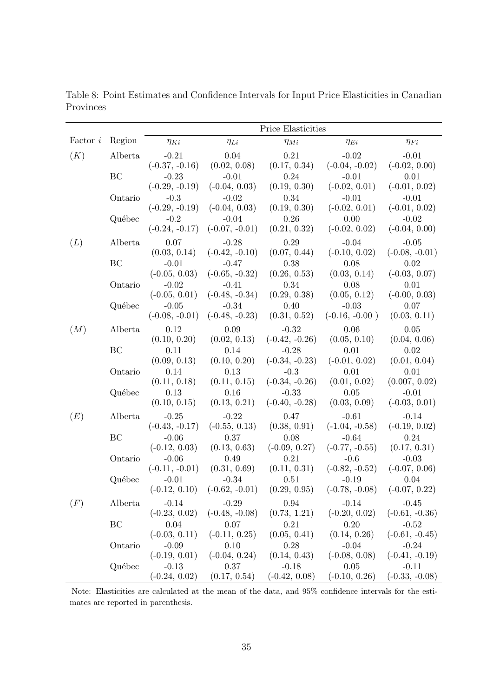|                |         | Price Elasticities         |                                  |                            |                                  |                             |  |  |  |  |  |
|----------------|---------|----------------------------|----------------------------------|----------------------------|----------------------------------|-----------------------------|--|--|--|--|--|
| Factor $\it i$ | Region  | $\eta_{Ki}$                | $\eta_{Li}$                      | $\eta_{Mi}$                | $\eta_{Ei}$                      | $\eta_{Fi}$                 |  |  |  |  |  |
| (K)            | Alberta | $-0.21$                    | 0.04                             | 0.21                       | $-0.02$                          | $-0.01$                     |  |  |  |  |  |
|                |         | $(-0.37, -0.16)$           | (0.02, 0.08)                     | (0.17, 0.34)               | $(-0.04, -0.02)$                 | $(-0.02, 0.00)$             |  |  |  |  |  |
|                | BC      | $-0.23$                    | $-0.01$                          | 0.24                       | $-0.01$                          | 0.01                        |  |  |  |  |  |
|                |         | $(-0.29, -0.19)$           | $(-0.04, 0.03)$                  | (0.19, 0.30)               | $(-0.02, 0.01)$                  | $(-0.01, 0.02)$             |  |  |  |  |  |
|                | Ontario | $-0.3$<br>$(-0.29, -0.19)$ | $-0.02$<br>$(-0.04, 0.03)$       | 0.34<br>(0.19, 0.30)       | $-0.01$<br>$(-0.02, 0.01)$       | $-0.01$<br>$(-0.01, 0.02)$  |  |  |  |  |  |
|                | Québec  | $-0.2$                     | $-0.04$                          | 0.26                       | 0.00                             | $-0.02$                     |  |  |  |  |  |
|                |         | $(-0.24, -0.17)$           | $(-0.07, -0.01)$                 | (0.21, 0.32)               | $(-0.02, 0.02)$                  | $(-0.04, 0.00)$             |  |  |  |  |  |
| (L)            | Alberta | 0.07                       | $-0.28$                          | 0.29                       | $-0.04$                          | $-0.05$                     |  |  |  |  |  |
|                |         | (0.03, 0.14)               | $(-0.42, -0.10)$                 | (0.07, 0.44)               | $(-0.10, 0.02)$                  | $(-0.08, -0.01)$            |  |  |  |  |  |
|                | BC      | $-0.01$                    | $-0.47$                          | 0.38                       | 0.08                             | 0.02                        |  |  |  |  |  |
|                | Ontario | $(-0.05, 0.03)$<br>$-0.02$ | $(-0.65, -0.32)$<br>$-0.41$      | (0.26, 0.53)<br>0.34       | (0.03, 0.14)<br>0.08             | $(-0.03, 0.07)$<br>0.01     |  |  |  |  |  |
|                |         | $(-0.05, 0.01)$            | $(-0.48, -0.34)$                 | (0.29, 0.38)               | (0.05, 0.12)                     | $(-0.00, 0.03)$             |  |  |  |  |  |
|                | Québec  | $-0.05$                    | $-0.34$                          | 0.40                       | $-0.03$                          | 0.07                        |  |  |  |  |  |
|                |         | $(-0.08, -0.01)$           | $(-0.48, -0.23)$                 | (0.31, 0.52)               | $(-0.16, -0.00)$                 | (0.03, 0.11)                |  |  |  |  |  |
| (M)            | Alberta | 0.12                       | 0.09                             | $-0.32$                    | 0.06                             | 0.05                        |  |  |  |  |  |
|                |         | (0.10, 0.20)               | (0.02, 0.13)                     | $(-0.42, -0.26)$           | (0.05, 0.10)                     | (0.04, 0.06)                |  |  |  |  |  |
|                | BC      | 0.11                       | 0.14                             | $-0.28$                    | 0.01                             | 0.02                        |  |  |  |  |  |
|                | Ontario | (0.09, 0.13)<br>0.14       | (0.10, 0.20)<br>0.13             | $(-0.34, -0.23)$<br>$-0.3$ | $(-0.01, 0.02)$<br>0.01          | (0.01, 0.04)<br>0.01        |  |  |  |  |  |
|                |         | (0.11, 0.18)               | (0.11, 0.15)                     | $(-0.34, -0.26)$           | (0.01, 0.02)                     | (0.007, 0.02)               |  |  |  |  |  |
|                | Québec  | 0.13                       | 0.16                             | $-0.33$                    | 0.05                             | $-0.01$                     |  |  |  |  |  |
|                |         | (0.10, 0.15)               | (0.13, 0.21)                     | $(-0.40, -0.28)$           | (0.03, 0.09)                     | $(-0.03, 0.01)$             |  |  |  |  |  |
| (E)            | Alberta | $-0.25$                    | $-0.22$                          | 0.47                       | $-0.61$                          | $-0.14$                     |  |  |  |  |  |
|                |         | $(-0.43, -0.17)$           | $(-0.55, 0.13)$                  | (0.38, 0.91)               | $(-1.04, -0.58)$                 | $(-0.19, 0.02)$             |  |  |  |  |  |
|                | BC      | $-0.06$<br>$(-0.12, 0.03)$ | 0.37<br>(0.13, 0.63)             | 0.08<br>$(-0.09, 0.27)$    | $-0.64$<br>$(-0.77, -0.55)$      | 0.24<br>(0.17, 0.31)        |  |  |  |  |  |
|                | Ontario | $-0.06$                    | 0.49                             | 0.21                       | $-0.6$                           | $-0.03$                     |  |  |  |  |  |
|                |         | $(-0.11, -0.01)$           | (0.31, 0.69)                     | (0.11, 0.31)               | $(-0.82, -0.52)$                 | $(-0.07, 0.06)$             |  |  |  |  |  |
|                | Québec  | $-0.01$                    | $-0.34$                          | 0.51                       | $-0.19$                          | 0.04                        |  |  |  |  |  |
|                |         |                            | $(-0.12, 0.10)$ $(-0.62, -0.01)$ | (0.29, 0.95)               | $(-0.78, -0.08)$ $(-0.07, 0.22)$ |                             |  |  |  |  |  |
| (F)            | Alberta | $-0.14$                    | $-0.29$                          | 0.94                       | $-0.14$                          | $-0.45$                     |  |  |  |  |  |
|                |         | $(-0.23, 0.02)$            | $(-0.48, -0.08)$                 | (0.73, 1.21)               | $(-0.20, 0.02)$                  | $(-0.61, -0.36)$            |  |  |  |  |  |
|                | BC      | 0.04<br>$(-0.03, 0.11)$    | 0.07                             | 0.21<br>(0.05, 0.41)       | 0.20<br>(0.14, 0.26)             | $-0.52$<br>$(-0.61, -0.45)$ |  |  |  |  |  |
|                | Ontario | $-0.09$                    | $(-0.11, 0.25)$<br>0.10          | 0.28                       | $-0.04$                          | $-0.24$                     |  |  |  |  |  |
|                |         | $(-0.19, 0.01)$            | $(-0.04, 0.24)$                  | (0.14, 0.43)               | $(-0.08, 0.08)$                  | $(-0.41, -0.19)$            |  |  |  |  |  |
|                | Québec  | $-0.13$                    | 0.37                             | $-0.18$                    | 0.05                             | $-0.11$                     |  |  |  |  |  |
|                |         | $(-0.24, 0.02)$            | (0.17, 0.54)                     | $(-0.42, 0.08)$            | $(-0.10, 0.26)$                  | $(-0.33, -0.08)$            |  |  |  |  |  |

Table 8: Point Estimates and Confidence Intervals for Input Price Elasticities in Canadian Provinces

Note: Elasticities are calculated at the mean of the data, and 95% confidence intervals for the estimates are reported in parenthesis.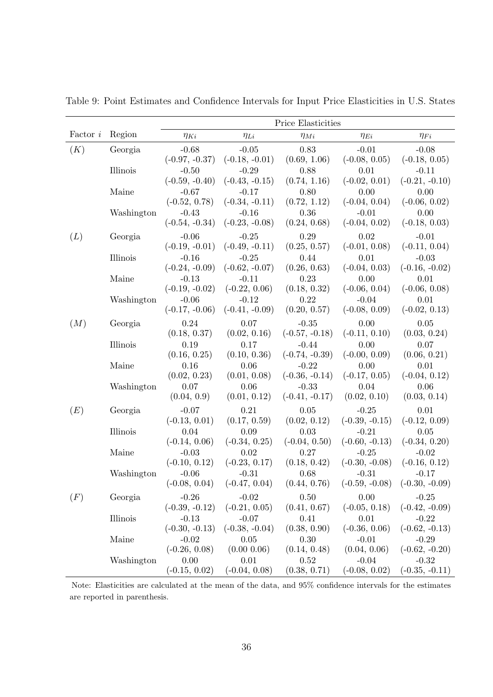|          |            | Price Elasticities          |                            |                             |                            |                         |  |  |  |  |
|----------|------------|-----------------------------|----------------------------|-----------------------------|----------------------------|-------------------------|--|--|--|--|
| Factor i | Region     | $\eta_{Ki}$                 | $\eta_{Li}$                | $\eta_{Mi}$                 | $\eta_{Ei}$                | $\eta_{Fi}$             |  |  |  |  |
| (K)      | Georgia    | $-0.68$                     | $-0.05$                    | 0.83                        | $-0.01$                    | $-0.08$                 |  |  |  |  |
|          |            | $(-0.97, -0.37)$            | $(-0.18, -0.01)$           | (0.69, 1.06)                | $(-0.08, 0.05)$            | $(-0.18, 0.05)$         |  |  |  |  |
|          | Illinois   | $-0.50$                     | $-0.29$                    | 0.88                        | 0.01                       | $-0.11$                 |  |  |  |  |
|          |            | $(-0.59, -0.40)$            | $(-0.43, -0.15)$           | (0.74, 1.16)                | $(-0.02, 0.01)$            | $(-0.21, -0.10)$        |  |  |  |  |
|          | Maine      | $-0.67$                     | $-0.17$                    | 0.80                        | 0.00                       | 0.00                    |  |  |  |  |
|          |            | $(-0.52, 0.78)$             | $(-0.34, -0.11)$           | (0.72, 1.12)                | $(-0.04, 0.04)$            | $(-0.06, 0.02)$         |  |  |  |  |
|          | Washington | $-0.43$                     | $-0.16$                    | 0.36                        | $-0.01$                    | 0.00                    |  |  |  |  |
|          |            | $(-0.54, -0.34)$            | $(-0.23, -0.08)$           | (0.24, 0.68)                | $(-0.04, 0.02)$            | $(-0.18, 0.03)$         |  |  |  |  |
| (L)      | Georgia    | $-0.06$                     | $-0.25$                    | 0.29                        | 0.02                       | $-0.01$                 |  |  |  |  |
|          |            | $(-0.19, -0.01)$            | $(-0.49, -0.11)$           | (0.25, 0.57)                | $(-0.01, 0.08)$            | $(-0.11, 0.04)$         |  |  |  |  |
|          | Illinois   | $-0.16$                     | $-0.25$                    | 0.44                        | 0.01                       | $-0.03$                 |  |  |  |  |
|          |            | $(-0.24, -0.09)$            | $(-0.62, -0.07)$           | (0.26, 0.63)                | $(-0.04, 0.03)$            | $(-0.16, -0.02)$        |  |  |  |  |
|          | Maine      | $-0.13$                     | $-0.11$                    | 0.23                        | 0.00                       | 0.01                    |  |  |  |  |
|          |            | $(-0.19, -0.02)$<br>$-0.06$ | $(-0.22, 0.06)$<br>$-0.12$ | (0.18, 0.32)<br>0.22        | $(-0.06, 0.04)$            | $(-0.06, 0.08)$         |  |  |  |  |
|          | Washington | $(-0.17, -0.06)$            | $(-0.41, -0.09)$           | (0.20, 0.57)                | $-0.04$<br>$(-0.08, 0.09)$ | 0.01<br>$(-0.02, 0.13)$ |  |  |  |  |
|          |            |                             |                            |                             |                            |                         |  |  |  |  |
| (M)      | Georgia    | 0.24                        | 0.07                       | $-0.35$                     | 0.00                       | 0.05                    |  |  |  |  |
|          | Illinois   | (0.18, 0.37)                | (0.02, 0.16)<br>0.17       | $(-0.57, -0.18)$            | $(-0.11, 0.10)$<br>0.00    | (0.03, 0.24)            |  |  |  |  |
|          |            | 0.19<br>(0.16, 0.25)        | (0.10, 0.36)               | $-0.44$<br>$(-0.74, -0.39)$ | $(-0.00, 0.09)$            | 0.07<br>(0.06, 0.21)    |  |  |  |  |
|          | Maine      | 0.16                        | 0.06                       | $-0.22$                     | 0.00                       | 0.01                    |  |  |  |  |
|          |            | (0.02, 0.23)                | (0.01, 0.08)               | $(-0.36, -0.14)$            | $(-0.17, 0.05)$            | $(-0.04, 0.12)$         |  |  |  |  |
|          | Washington | 0.07                        | 0.06                       | $-0.33$                     | 0.04                       | 0.06                    |  |  |  |  |
|          |            | (0.04, 0.9)                 | (0.01, 0.12)               | $(-0.41, -0.17)$            | (0.02, 0.10)               | (0.03, 0.14)            |  |  |  |  |
| (E)      | Georgia    | $-0.07$                     | 0.21                       | 0.05                        | $-0.25$                    | 0.01                    |  |  |  |  |
|          |            | $(-0.13, 0.01)$             | (0.17, 0.59)               | (0.02, 0.12)                | $(-0.39, -0.15)$           | $(-0.12, 0.09)$         |  |  |  |  |
|          | Illinois   | 0.04                        | 0.09                       | 0.03                        | $-0.21$                    | 0.05                    |  |  |  |  |
|          |            | $(-0.14, 0.06)$             | $(-0.34, 0.25)$            | $(-0.04, 0.50)$             | $(-0.60, -0.13)$           | $(-0.34, 0.20)$         |  |  |  |  |
|          | Maine      | $-0.03$                     | 0.02                       | 0.27                        | $-0.25$                    | $-0.02$                 |  |  |  |  |
|          |            | $(-0.10, 0.12)$             | $(-0.23, 0.17)$            | (0.18, 0.42)                | $(-0.30, -0.08)$           | $(-0.16, 0.12)$         |  |  |  |  |
|          | Washington | $-0.06$                     | $-0.31$                    | 0.68                        | $-0.31$                    | $-0.17$                 |  |  |  |  |
|          |            | $(-0.08, 0.04)$             | $(-0.47, 0.04)$            | (0.44, 0.76)                | $(-0.59, -0.08)$           | $(-0.30, -0.09)$        |  |  |  |  |
| (F)      | Georgia    | $-0.26$                     | $-0.02$                    | 0.50                        | 0.00                       | $-0.25$                 |  |  |  |  |
|          |            | $(-0.39, -0.12)$            | $(-0.21, 0.05)$            | (0.41, 0.67)                | $(-0.05, 0.18)$            | $(-0.42, -0.09)$        |  |  |  |  |
|          | Illinois   | $-0.13$                     | $-0.07$                    | 0.41                        | 0.01                       | $-0.22$                 |  |  |  |  |
|          |            | $(-0.30, -0.13)$            | $(-0.38, -0.04)$           | (0.38, 0.90)                | $(-0.36, 0.06)$            | $(-0.62, -0.13)$        |  |  |  |  |
|          | Maine      | $-0.02$                     | 0.05                       | 0.30                        | $-0.01$                    | $-0.29$                 |  |  |  |  |
|          |            | $(-0.26, 0.08)$             | $(0.00\ 0.06)$             | (0.14, 0.48)                | (0.04, 0.06)               | $(-0.62, -0.20)$        |  |  |  |  |
|          | Washington | 0.00                        | 0.01                       | 0.52                        | $-0.04$                    | $-0.32$                 |  |  |  |  |
|          |            | $(-0.15, 0.02)$             | $(-0.04, 0.08)$            | (0.38, 0.71)                | $(-0.08, 0.02)$            | $(-0.35, -0.11)$        |  |  |  |  |

Table 9: Point Estimates and Confidence Intervals for Input Price Elasticities in U.S. States

Note: Elasticities are calculated at the mean of the data, and 95% confidence intervals for the estimates are reported in parenthesis.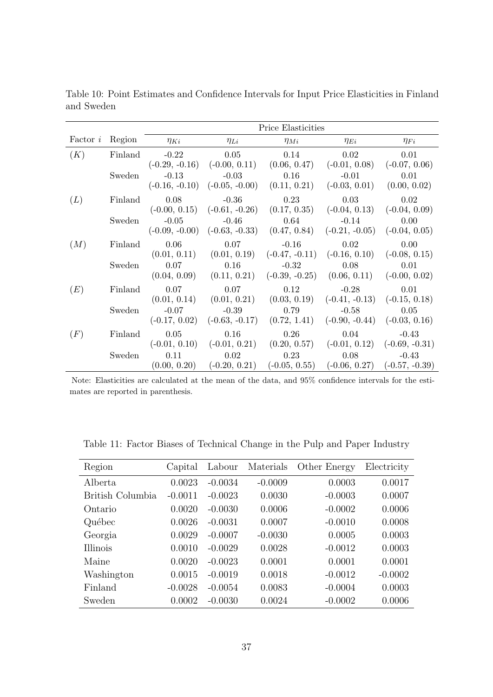|     |         |                                    |             | Price Elasticities                                                                                                        |             |             |
|-----|---------|------------------------------------|-------------|---------------------------------------------------------------------------------------------------------------------------|-------------|-------------|
|     |         | Factor <i>i</i> Region $\eta_{Ki}$ | $\eta_{Li}$ | $\eta_{Mi}$                                                                                                               | $\eta_{Ei}$ | $\eta_{Fi}$ |
| (K) | Finland |                                    |             | $-0.22$ $0.05$ $0.14$ $0.02$                                                                                              |             | 0.01        |
|     |         |                                    |             | $(-0.29, -0.16)$ $(-0.00, 0.11)$ $(0.06, 0.47)$ $(-0.01, 0.08)$ $(-0.07, 0.06)$                                           |             |             |
|     | Sweden  |                                    |             | $-0.13$ $-0.03$ $0.16$ $-0.01$ $0.01$<br>$(-0.16, -0.10)$ $(-0.05, -0.00)$ $(0.11, 0.21)$ $(-0.03, 0.01)$ $(0.00, 0.02)$  |             |             |
| (L) | Finland |                                    |             | $0.08$ $-0.36$ $0.23$ $0.03$ $0.02$                                                                                       |             |             |
|     |         |                                    |             | $(-0.00, 0.15)$ $(-0.61, -0.26)$ $(0.17, 0.35)$ $(-0.04, 0.13)$ $(-0.04, 0.09)$                                           |             |             |
|     | Sweden  |                                    |             | $-0.05$ $-0.46$ $0.64$ $-0.14$ $0.00$                                                                                     |             |             |
|     |         |                                    |             | $(-0.09, -0.00)$ $(-0.63, -0.33)$ $(0.47, 0.84)$ $(-0.21, -0.05)$ $(-0.04, 0.05)$                                         |             |             |
| (M) | Finland |                                    |             | $0.06$ $0.07$ $-0.16$ $0.02$ $0.00$                                                                                       |             |             |
|     |         |                                    |             | $(0.01, 0.11)$ $(0.01, 0.19)$ $(-0.47, -0.11)$ $(-0.16, 0.10)$ $(-0.08, 0.15)$                                            |             |             |
|     | Sweden  |                                    |             | $0.07$ $0.16$ $-0.32$ $0.08$ $0.01$<br>$(0.04, 0.09)$ $(0.11, 0.21)$ $(-0.39, -0.25)$ $(0.06, 0.11)$ $(-0.00, 0.02)$      |             |             |
|     |         |                                    |             |                                                                                                                           |             |             |
| (E) | Finland | 0.07                               |             | $0.07$ $0.12$ $-0.28$ $0.01$                                                                                              |             |             |
|     |         |                                    |             | $(0.01, 0.14)$ $(0.01, 0.21)$ $(0.03, 0.19)$ $(-0.41, -0.13)$ $(-0.15, 0.18)$                                             |             |             |
|     | Sweden  |                                    |             | $-0.07$ $-0.39$ $0.79$ $-0.58$ $0.05$<br>$(-0.17, 0.02)$ $(-0.63, -0.17)$ $(0.72, 1.41)$ $(-0.90, -0.44)$ $(-0.03, 0.16)$ |             |             |
|     |         |                                    |             |                                                                                                                           |             |             |
| (F) | Finland |                                    |             | $0.05$ $0.16$ $0.26$ $0.04$ $-0.43$<br>$(-0.01, 0.10)$ $(-0.01, 0.21)$ $(0.20, 0.57)$ $(-0.01, 0.12)$ $(-0.69, -0.31)$    |             |             |
|     | Sweden  |                                    |             | $0.11 \t\t 0.02 \t\t 0.23 \t\t 0.08 \t\t -0.43$                                                                           |             |             |
|     |         |                                    |             | $(0.00, 0.20)$ $(-0.20, 0.21)$ $(-0.05, 0.55)$ $(-0.06, 0.27)$ $(-0.57, -0.39)$                                           |             |             |
|     |         |                                    |             |                                                                                                                           |             |             |

Table 10: Point Estimates and Confidence Intervals for Input Price Elasticities in Finland and Sweden

Note: Elasticities are calculated at the mean of the data, and 95% confidence intervals for the estimates are reported in parenthesis.

|  |  |  | Table 11: Factor Biases of Technical Change in the Pulp and Paper Industry |  |
|--|--|--|----------------------------------------------------------------------------|--|
|  |  |  |                                                                            |  |

| Region           | Capital   | Labour    | Materials | Other Energy | Electricity |
|------------------|-----------|-----------|-----------|--------------|-------------|
| Alberta          | 0.0023    | $-0.0034$ | $-0.0009$ | 0.0003       | 0.0017      |
| British Columbia | $-0.0011$ | $-0.0023$ | 0.0030    | $-0.0003$    | 0.0007      |
| Ontario          | 0.0020    | $-0.0030$ | 0.0006    | $-0.0002$    | 0.0006      |
| Québec           | 0.0026    | $-0.0031$ | 0.0007    | $-0.0010$    | 0.0008      |
| Georgia          | 0.0029    | $-0.0007$ | $-0.0030$ | 0.0005       | 0.0003      |
| <i>Illinois</i>  | 0.0010    | $-0.0029$ | 0.0028    | $-0.0012$    | 0.0003      |
| Maine            | 0.0020    | $-0.0023$ | 0.0001    | 0.0001       | 0.0001      |
| Washington       | 0.0015    | $-0.0019$ | 0.0018    | $-0.0012$    | $-0.0002$   |
| Finland          | $-0.0028$ | $-0.0054$ | 0.0083    | $-0.0004$    | 0.0003      |
| Sweden           | 0.0002    | $-0.0030$ | 0.0024    | $-0.0002$    | 0.0006      |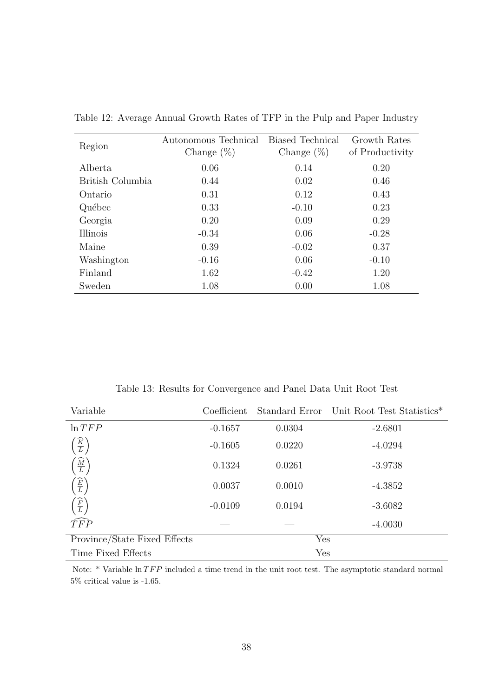| Region           | Autonomous Technical<br>Change $(\%)$ | <b>Biased Technical</b><br>Change $(\%)$ | Growth Rates<br>of Productivity |
|------------------|---------------------------------------|------------------------------------------|---------------------------------|
| Alberta          | 0.06                                  | 0.14                                     | 0.20                            |
| British Columbia | 0.44                                  | 0.02                                     | 0.46                            |
| Ontario          | 0.31                                  | 0.12                                     | 0.43                            |
| Québec           | 0.33                                  | $-0.10$                                  | 0.23                            |
| Georgia          | 0.20                                  | 0.09                                     | 0.29                            |
| Illinois         | $-0.34$                               | 0.06                                     | $-0.28$                         |
| Maine            | 0.39                                  | $-0.02$                                  | 0.37                            |
| Washington       | $-0.16$                               | 0.06                                     | $-0.10$                         |
| Finland          | 1.62                                  | $-0.42$                                  | 1.20                            |
| Sweden           | 1.08                                  | 0.00                                     | 1.08                            |

Table 12: Average Annual Growth Rates of TFP in the Pulp and Paper Industry

Table 13: Results for Convergence and Panel Data Unit Root Test

| Variable                                                | Coefficient |        | Standard Error Unit Root Test Statistics* |
|---------------------------------------------------------|-------------|--------|-------------------------------------------|
| $\ln TFP$                                               | $-0.1657$   | 0.0304 | $-2.6801$                                 |
| $\left(\frac{\widehat{K}}{L}\right)$                    | $-0.1605$   | 0.0220 | $-4.0294$                                 |
| $\frac{\widehat{M}}{L}$                                 | 0.1324      | 0.0261 | $-3.9738$                                 |
| $\frac{\widehat{E}}{L}$                                 | 0.0037      | 0.0010 | $-4.3852$                                 |
| $\left(\frac{\widehat{F}}{L}\right)$<br>$\widehat{TFP}$ | $-0.0109$   | 0.0194 | $-3.6082$                                 |
|                                                         |             |        | $-4.0030$                                 |
| Province/State Fixed Effects                            |             | Yes    |                                           |
| Time Fixed Effects                                      |             | Yes    |                                           |

Note:  $*$  Variable  $\ln TFP$  included a time trend in the unit root test. The asymptotic standard normal 5% critical value is -1.65.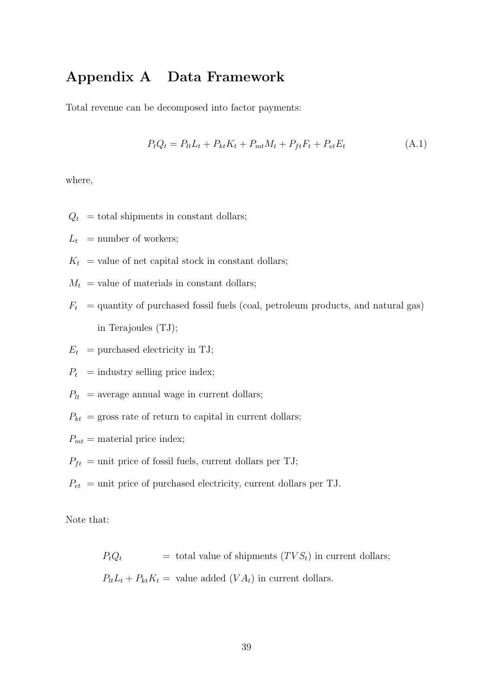# Appendix A Data Framework

Total revenue can be decomposed into factor payments:

$$
P_t Q_t = P_{lt} L_t + P_{kt} K_t + P_{mt} M_t + P_{ft} F_t + P_{et} E_t
$$
\n(A.1)

where,

- $Q_t$  = total shipments in constant dollars;
- $L_t$  = number of workers;
- $K_t$  = value of net capital stock in constant dollars;
- $M_t$  = value of materials in constant dollars;
- $F_t$  = quantity of purchased fossil fuels (coal, petroleum products, and natural gas) in Terajoules (TJ);
- $E_t$  = purchased electricity in TJ;
- $P_t$  = industry selling price index;
- $P_{lt}$  = average annual wage in current dollars;
- $P_{kt}$  = gross rate of return to capital in current dollars;
- $P_{mt}$  = material price index;
- $P_{ft}$  = unit price of fossil fuels, current dollars per TJ;
- $P_{et}$  = unit price of purchased electricity, current dollars per TJ.

Note that:

 $P_tQ_t$  = total value of shipments  $(TVS_t)$  in current dollars;  $P_{lt}L_t + P_{kt}K_t =$  value added  $(VA_t)$  in current dollars.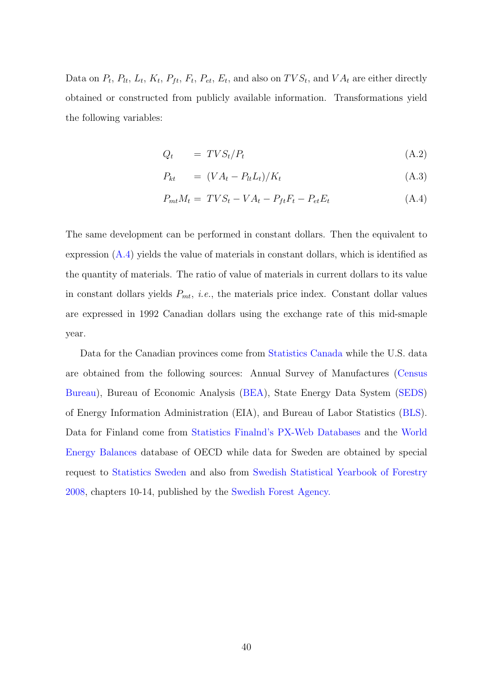Data on  $P_t$ ,  $P_{lt}$ ,  $L_t$ ,  $K_t$ ,  $P_{ft}$ ,  $F_t$ ,  $P_{et}$ ,  $E_t$ , and also on  $TVS_t$ , and  $VA_t$  are either directly obtained or constructed from publicly available information. Transformations yield the following variables:

$$
Q_t = TVS_t/P_t \tag{A.2}
$$

$$
P_{kt} = (VA_t - P_{tt}L_t)/K_t \tag{A.3}
$$

$$
P_{mt}M_t = TVS_t - VA_t - P_{ft}F_t - P_{et}E_t
$$
\n(A.4)

The same development can be performed in constant dollars. Then the equivalent to expression (A.4) yields the value of materials in constant dollars, which is identified as the quantity of materials. The ratio of value of materials in current dollars to its value in constant dollars yields  $P_{mt}$ , *i.e.*, the materials price index. Constant dollar values are expressed in 1992 Canadian dollars using the exchange rate of this mid-smaple year.

Data for the Canadian provinces come from [Statistics Canada](http://www5.statcan.gc.ca/cansim/home-accueil?lang=eng) while the U.S. data are obtained from the following sources: Annual Survey of Manufactures [\(Census](http://www.census.gov/programs-surveys/asm.html) [Bureau\)](http://www.census.gov/programs-surveys/asm.html), Bureau of Economic Analysis [\(BEA\)](http://www.bea.gov/), State Energy Data System [\(SEDS\)](https://www.eia.gov/state/seds/) of Energy Information Administration (EIA), and Bureau of Labor Statistics [\(BLS\)](http://data.bls.gov/timeseries/WPU09?include_graphs=false&output_type=column&years_option=all_years). Data for Finland come from [Statistics Finalnd's PX-Web Databases](http://pxnet2.stat.fi/PXWeb/pxweb/en/StatFin/) and the [World](http://www.oecd-ilibrary.org/energy/data/iea-world-energy-statistics-and-balances/world-energy-balances_data-00512-en?isPartOf=/content/datacollection/enestats-data-en) [Energy Balances](http://www.oecd-ilibrary.org/energy/data/iea-world-energy-statistics-and-balances/world-energy-balances_data-00512-en?isPartOf=/content/datacollection/enestats-data-en) database of OECD while data for Sweden are obtained by special request to [Statistics Sweden](http://www.scb.se/en_/) and also from [Swedish Statistical Yearbook of Forestry](http://www.skogsstyrelsen.se/Global/myndigheten/Statistik/Skogsstatistisk%20%C3%A5rsbok/04.%202000-2009/Skogsstatistisk%20%C3%A5rsbok%202008.pdf) [2008,](http://www.skogsstyrelsen.se/Global/myndigheten/Statistik/Skogsstatistisk%20%C3%A5rsbok/04.%202000-2009/Skogsstatistisk%20%C3%A5rsbok%202008.pdf) chapters 10-14, published by the [Swedish Forest Agency.](http://www.skogsstyrelsen.se/en/)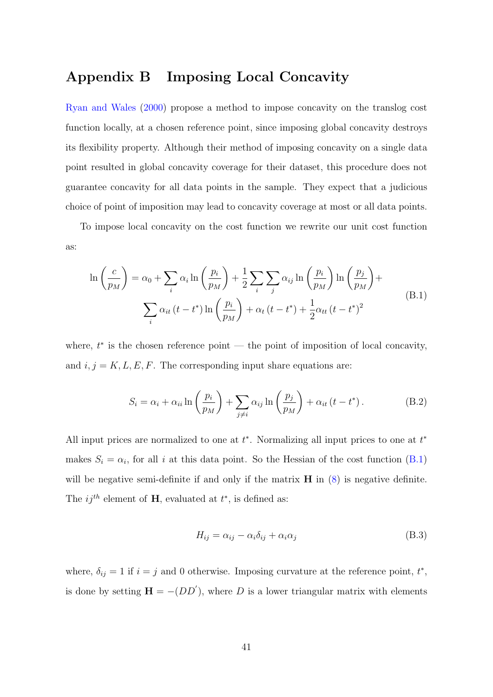## Appendix B Imposing Local Concavity

Ryan and Wales (2000) propose a method to impose concavity on the translog cost function locally, at a chosen reference point, since imposing global concavity destroys its flexibility property. Although their method of imposing concavity on a single data point resulted in global concavity coverage for their dataset, this procedure does not guarantee concavity for all data points in the sample. They expect that a judicious choice of point of imposition may lead to concavity coverage at most or all data points.

To impose local concavity on the cost function we rewrite our unit cost function as:

$$
\ln\left(\frac{c}{p_M}\right) = \alpha_0 + \sum_i \alpha_i \ln\left(\frac{p_i}{p_M}\right) + \frac{1}{2} \sum_i \sum_j \alpha_{ij} \ln\left(\frac{p_i}{p_M}\right) \ln\left(\frac{p_j}{p_M}\right) + \sum_i \alpha_{it} \left(t - t^*\right) \ln\left(\frac{p_i}{p_M}\right) + \alpha_t \left(t - t^*\right) + \frac{1}{2} \alpha_{tt} \left(t - t^*\right)^2
$$
\n(B.1)

where,  $t^*$  is the chosen reference point — the point of imposition of local concavity, and  $i, j = K, L, E, F$ . The corresponding input share equations are:

$$
S_i = \alpha_i + \alpha_{ii} \ln \left( \frac{p_i}{p_M} \right) + \sum_{j \neq i} \alpha_{ij} \ln \left( \frac{p_j}{p_M} \right) + \alpha_{it} \left( t - t^* \right). \tag{B.2}
$$

All input prices are normalized to one at  $t^*$ . Normalizing all input prices to one at  $t^*$ makes  $S_i = \alpha_i$ , for all i at this data point. So the Hessian of the cost function (B.1) will be negative semi-definite if and only if the matrix  $\bf{H}$  in (8) is negative definite. The  $ij^{th}$  element of **H**, evaluated at  $t^*$ , is defined as:

$$
H_{ij} = \alpha_{ij} - \alpha_i \delta_{ij} + \alpha_i \alpha_j \tag{B.3}
$$

where,  $\delta_{ij} = 1$  if  $i = j$  and 0 otherwise. Imposing curvature at the reference point,  $t^*$ , is done by setting  $\mathbf{H} = -(DD')$ , where D is a lower triangular matrix with elements